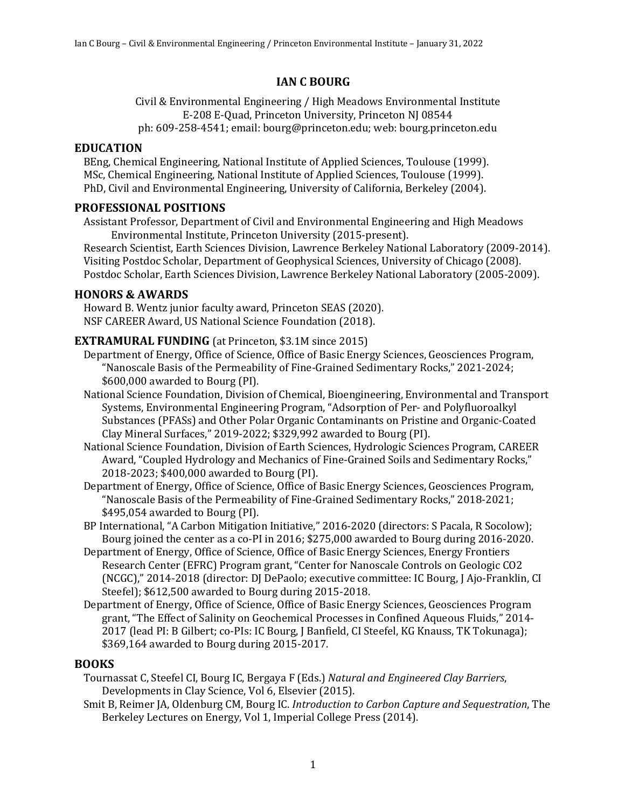# **IAN C BOURG**

Civil & Environmental Engineering / High Meadows Environmental Institute E-208 E-Quad, Princeton University, Princeton NJ 08544 ph: 609-258-4541; email: bourg@princeton.edu; web: bourg.princeton.edu

### **EDUCATION**

BEng, Chemical Engineering, National Institute of Applied Sciences, Toulouse (1999). MSc, Chemical Engineering, National Institute of Applied Sciences, Toulouse (1999). PhD, Civil and Environmental Engineering, University of California, Berkeley (2004).

# **PROFESSIONAL POSITIONS**

Assistant Professor, Department of Civil and Environmental Engineering and High Meadows Environmental Institute, Princeton University (2015-present).

Research Scientist, Earth Sciences Division, Lawrence Berkeley National Laboratory (2009-2014). Visiting Postdoc Scholar, Department of Geophysical Sciences, University of Chicago (2008). Postdoc Scholar, Earth Sciences Division, Lawrence Berkeley National Laboratory (2005-2009).

# **HONORS & AWARDS**

Howard B. Wentz junior faculty award, Princeton SEAS (2020). NSF CAREER Award, US National Science Foundation (2018).

# **EXTRAMURAL FUNDING** (at Princeton, \$3.1M since 2015)

- Department of Energy, Office of Science, Office of Basic Energy Sciences, Geosciences Program, "Nanoscale Basis of the Permeability of Fine-Grained Sedimentary Rocks," 2021-2024;  $$600,000$  awarded to Bourg (PI).
- National Science Foundation, Division of Chemical, Bioengineering, Environmental and Transport Systems, Environmental Engineering Program, "Adsorption of Per- and Polyfluoroalkyl Substances (PFASs) and Other Polar Organic Contaminants on Pristine and Organic-Coated Clay Mineral Surfaces,"  $2019-2022$ ; \$329,992 awarded to Bourg (PI).
- National Science Foundation, Division of Earth Sciences, Hydrologic Sciences Program, CAREER Award, "Coupled Hydrology and Mechanics of Fine-Grained Soils and Sedimentary Rocks," 2018-2023; \$400,000 awarded to Bourg (PI).
- Department of Energy, Office of Science, Office of Basic Energy Sciences, Geosciences Program, "Nanoscale Basis of the Permeability of Fine-Grained Sedimentary Rocks," 2018-2021;  $$495,054$  awarded to Bourg (PI).
- BP International, "A Carbon Mitigation Initiative," 2016-2020 (directors: S Pacala, R Socolow); Bourg joined the center as a co-PI in 2016; \$275,000 awarded to Bourg during 2016-2020.
- Department of Energy, Office of Science, Office of Basic Energy Sciences, Energy Frontiers Research Center (EFRC) Program grant, "Center for Nanoscale Controls on Geologic CO2 (NCGC)," 2014-2018 (director: DJ DePaolo; executive committee: IC Bourg, J Ajo-Franklin, CI Steefel); \$612,500 awarded to Bourg during 2015-2018.
- Department of Energy, Office of Science, Office of Basic Energy Sciences, Geosciences Program grant, "The Effect of Salinity on Geochemical Processes in Confined Aqueous Fluids," 2014-2017 (lead PI: B Gilbert; co-PIs: IC Bourg, J Banfield, CI Steefel, KG Knauss, TK Tokunaga); \$369,164 awarded to Bourg during 2015-2017.

#### **BOOKS**

Tournassat C, Steefel CI, Bourg IC, Bergaya F (Eds.) *Natural and Engineered Clay Barriers*, Developments in Clay Science, Vol 6, Elsevier (2015).

Smit B, Reimer JA, Oldenburg CM, Bourg IC. *Introduction to Carbon Capture and Sequestration*, The Berkeley Lectures on Energy, Vol 1, Imperial College Press (2014).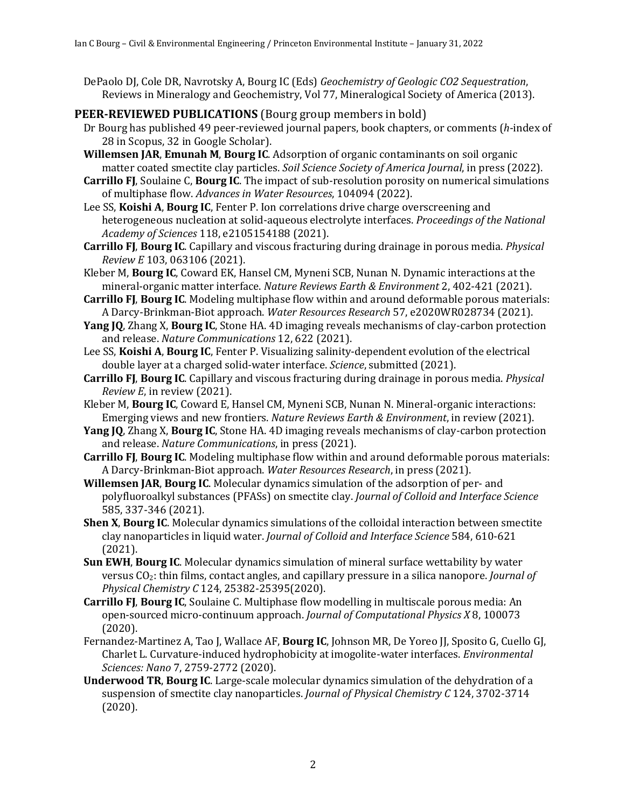DePaolo DJ, Cole DR, Navrotsky A, Bourg IC (Eds) *Geochemistry of Geologic CO2 Sequestration*, Reviews in Mineralogy and Geochemistry, Vol 77, Mineralogical Society of America (2013).

# **PEER-REVIEWED PUBLICATIONS** (Bourg group members in bold)

- Dr Bourg has published 49 peer-reviewed journal papers, book chapters, or comments (*h*-index of 28 in Scopus, 32 in Google Scholar).
- **Willemsen JAR, Emunah M, Bourg IC.** Adsorption of organic contaminants on soil organic matter coated smectite clay particles. Soil Science Society of America Journal, in press (2022).
- **Carrillo FI**, Soulaine C, **Bourg IC**. The impact of sub-resolution porosity on numerical simulations of multiphase flow. Advances in Water Resources, 104094 (2022).
- Lee SS, **Koishi A, Bourg IC**, Fenter P. Ion correlations drive charge overscreening and heterogeneous nucleation at solid-aqueous electrolyte interfaces. *Proceedings of the National Academy of Sciences* 118, e2105154188 (2021).
- **Carrillo FJ, Bourg IC.** Capillary and viscous fracturing during drainage in porous media. *Physical Review E* 103, 063106 (2021).
- Kleber M, Bourg IC, Coward EK, Hansel CM, Myneni SCB, Nunan N. Dynamic interactions at the mineral-organic matter interface. *Nature Reviews Earth & Environment* 2, 402-421 (2021).
- **Carrillo FJ, Bourg IC.** Modeling multiphase flow within and around deformable porous materials: A Darcy-Brinkman-Biot approach. Water Resources Research 57, e2020WR028734 (2021).
- **Yang JQ**, Zhang X, Bourg IC, Stone HA. 4D imaging reveals mechanisms of clay-carbon protection and release. *Nature Communications* 12, 622 (2021).
- Lee SS, **Koishi A, Bourg IC**, Fenter P. Visualizing salinity-dependent evolution of the electrical double layer at a charged solid-water interface. *Science*, submitted (2021).
- **Carrillo FJ, Bourg IC.** Capillary and viscous fracturing during drainage in porous media. *Physical Review E*, in review (2021).
- Kleber M, **Bourg IC**, Coward E, Hansel CM, Myneni SCB, Nunan N. Mineral-organic interactions: Emerging views and new frontiers. *Nature Reviews Earth & Environment*, in review (2021).
- **Yang IQ**, Zhang X, **Bourg IC**, Stone HA. 4D imaging reveals mechanisms of clay-carbon protection and release. *Nature Communications*, in press (2021).
- **Carrillo FJ, Bourg IC.** Modeling multiphase flow within and around deformable porous materials: A Darcy-Brinkman-Biot approach. *Water Resources Research*, in press (2021).
- **Willemsen JAR, Bourg IC.** Molecular dynamics simulation of the adsorption of per- and polyfluoroalkyl substances (PFASs) on smectite clay. *Journal of Colloid and Interface Science* 585, 337-346 (2021).
- **Shen X, Bourg IC.** Molecular dynamics simulations of the colloidal interaction between smectite clay nanoparticles in liquid water. *Journal of Colloid and Interface Science* 584, 610-621 (2021).
- **Sun EWH. Bourg IC.** Molecular dynamics simulation of mineral surface wettability by water versus CO<sub>2</sub>: thin films, contact angles, and capillary pressure in a silica nanopore. *Journal of Physical Chemistry C* 124, 25382-25395(2020).
- **Carrillo FJ, Bourg IC, Soulaine C. Multiphase flow modelling in multiscale porous media: An** open-sourced micro-continuum approach. *Journal of Computational Physics X* 8, 100073 (2020).
- Fernandez-Martinez A, Tao J, Wallace AF, **Bourg IC**, Johnson MR, De Yoreo JJ, Sposito G, Cuello GJ, Charlet L. Curvature-induced hydrophobicity at imogolite-water interfaces. *Environmental Sciences: Nano* 7, 2759-2772 (2020).
- **Underwood TR, Bourg IC.** Large-scale molecular dynamics simulation of the dehydration of a suspension of smectite clay nanoparticles. *Journal of Physical Chemistry C* 124, 3702-3714 (2020).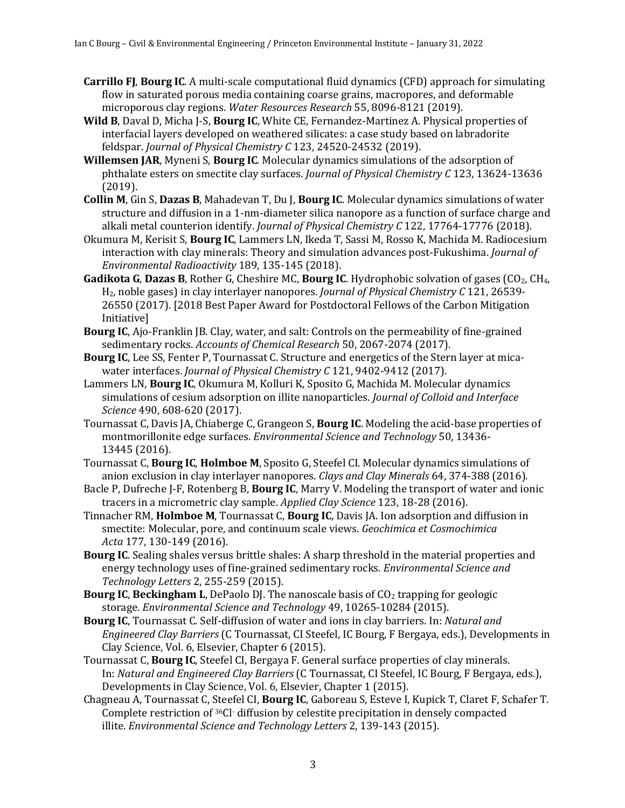- **Carrillo FJ, Bourg IC.** A multi-scale computational fluid dynamics (CFD) approach for simulating flow in saturated porous media containing coarse grains, macropores, and deformable microporous clay regions. *Water Resources Research* 55, 8096-8121 (2019).
- **Wild B**, Daval D, Micha J-S, **Bourg IC**, White CE, Fernandez-Martinez A. Physical properties of interfacial layers developed on weathered silicates: a case study based on labradorite feldspar. *Journal of Physical Chemistry C* 123, 24520-24532 (2019).
- **Willemsen JAR**, Myneni S, **Bourg IC**. Molecular dynamics simulations of the adsorption of phthalate esters on smectite clay surfaces. *Journal of Physical Chemistry C* 123, 13624-13636 (2019).
- **Collin M, Gin S, Dazas B, Mahadevan T, Du J, Bourg IC. Molecular dynamics simulations of water** structure and diffusion in a 1-nm-diameter silica nanopore as a function of surface charge and alkali metal counterion identify. *Journal of Physical Chemistry C* 122, 17764-17776 (2018).
- Okumura M, Kerisit S, Bourg IC, Lammers LN, Ikeda T, Sassi M, Rosso K, Machida M. Radiocesium interaction with clay minerals: Theory and simulation advances post-Fukushima. *Journal of Environmental Radioactivity* 189, 135-145 (2018).
- **Gadikota G, Dazas B,** Rother G, Cheshire MC, **Bourg IC**. Hydrophobic solvation of gases (CO<sub>2</sub>, CH<sub>4</sub>, H<sub>2</sub>, noble gases) in clay interlayer nanopores. *Journal of Physical Chemistry C* 121, 26539-26550 (2017). [2018 Best Paper Award for Postdoctoral Fellows of the Carbon Mitigation Initiative]
- **Bourg IC**, Ajo-Franklin JB. Clay, water, and salt: Controls on the permeability of fine-grained sedimentary rocks. *Accounts of Chemical Research* 50, 2067-2074 (2017).
- **Bourg IC**, Lee SS, Fenter P, Tournassat C. Structure and energetics of the Stern layer at micawater interfaces. *Journal of Physical Chemistry C* 121, 9402-9412 (2017).
- Lammers LN, **Bourg IC**, Okumura M, Kolluri K, Sposito G, Machida M. Molecular dynamics simulations of cesium adsorption on illite nanoparticles. *Journal of Colloid and Interface Science* 490, 608-620 (2017).
- Tournassat C, Davis JA, Chiaberge C, Grangeon S, **Bourg IC**. Modeling the acid-base properties of montmorillonite edge surfaces. *Environmental Science and Technology* 50, 13436-13445 (2016).
- Tournassat C, **Bourg IC, Holmboe M**, Sposito G, Steefel CI. Molecular dynamics simulations of anion exclusion in clay interlayer nanopores. *Clays and Clay Minerals* 64, 374-388 (2016).
- Bacle P, Dufreche J-F, Rotenberg B, **Bourg IC**, Marry V. Modeling the transport of water and ionic tracers in a micrometric clay sample. *Applied Clay Science* 123, 18-28 (2016).
- Tinnacher RM, **Holmboe M**, Tournassat C, **Bourg IC**, Davis JA. Ion adsorption and diffusion in smectite: Molecular, pore, and continuum scale views. *Geochimica et Cosmochimica Acta* 177, 130-149 (2016).
- **Bourg IC**. Sealing shales versus brittle shales: A sharp threshold in the material properties and energy technology uses of fine-grained sedimentary rocks. *Environmental Science and Technology Letters* 2, 255-259 (2015).
- **Bourg IC, Beckingham L,** DePaolo DJ. The nanoscale basis of CO<sub>2</sub> trapping for geologic storage. *Environmental Science and Technology* 49, 10265-10284 (2015).
- **Bourg IC**, Tournassat C. Self-diffusion of water and ions in clay barriers. In: *Natural and Engineered Clay Barriers* (C Tournassat, CI Steefel, IC Bourg, F Bergaya, eds.), Developments in Clay Science, Vol. 6, Elsevier, Chapter 6 (2015).
- Tournassat C, Bourg IC, Steefel CI, Bergaya F. General surface properties of clay minerals. In: *Natural and Engineered Clay Barriers* (C Tournassat, CI Steefel, IC Bourg, F Bergaya, eds.), Developments in Clay Science, Vol. 6, Elsevier, Chapter 1 (2015).
- Chagneau A, Tournassat C, Steefel CI, **Bourg IC**, Gaboreau S, Esteve I, Kupick T, Claret F, Schafer T. Complete restriction of <sup>36</sup>Cl- diffusion by celestite precipitation in densely compacted illite. *Environmental Science and Technology Letters* 2, 139-143 (2015).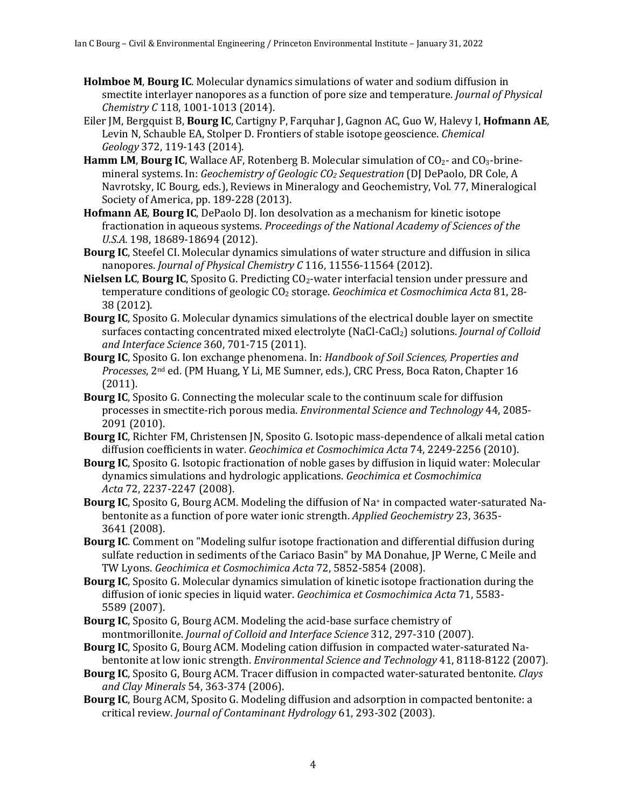- **Holmboe M, Bourg IC.** Molecular dynamics simulations of water and sodium diffusion in smectite interlayer nanopores as a function of pore size and temperature. *Journal of Physical Chemistry C* 118, 1001-1013 (2014).
- Eiler JM, Bergquist B, **Bourg IC**, Cartigny P, Farquhar J, Gagnon AC, Guo W, Halevy I, **Hofmann AE**, Levin N, Schauble EA, Stolper D. Frontiers of stable isotope geoscience. *Chemical Geology* 372, 119-143 (2014).
- **Hamm LM, Bourg IC,** Wallace AF, Rotenberg B. Molecular simulation of CO<sub>2</sub>- and CO<sub>3</sub>-brinemineral systems. In: *Geochemistry of Geologic CO<sub>2</sub> Sequestration* (DJ DePaolo, DR Cole, A Navrotsky, IC Bourg, eds.), Reviews in Mineralogy and Geochemistry, Vol. 77, Mineralogical Society of America, pp. 189-228 (2013).
- Hofmann AE, Bourg IC, DePaolo DJ. Ion desolvation as a mechanism for kinetic isotope fractionation in aqueous systems. *Proceedings of the National Academy of Sciences of the U.S.A.* 198, 18689-18694 (2012).
- **Bourg IC**, Steefel CI. Molecular dynamics simulations of water structure and diffusion in silica nanopores. *Journal of Physical Chemistry C* 116, 11556-11564 (2012).
- **Nielsen LC, Bourg IC, Sposito G. Predicting CO<sub>2</sub>-water interfacial tension under pressure and** temperature conditions of geologic CO<sub>2</sub> storage. *Geochimica et Cosmochimica Acta* 81, 28-38 (2012).
- **Bourg IC**, Sposito G. Molecular dynamics simulations of the electrical double layer on smectite surfaces contacting concentrated mixed electrolyte (NaCl-CaCl<sub>2</sub>) solutions. *Journal of Colloid and Interface Science* 360, 701-715 (2011).
- **Bourg IC**, Sposito G. Ion exchange phenomena. In: *Handbook of Soil Sciences, Properties and Processes*, 2<sup>nd</sup> ed. (PM Huang, Y Li, ME Sumner, eds.), CRC Press, Boca Raton, Chapter 16 (2011).
- **Bourg IC**, Sposito G. Connecting the molecular scale to the continuum scale for diffusion processes in smectite-rich porous media. *Environmental Science and Technology* 44, 2085-2091 (2010).
- **Bourg IC**, Richter FM, Christensen JN, Sposito G. Isotopic mass-dependence of alkali metal cation diffusion coefficients in water. *Geochimica et Cosmochimica Acta* 74, 2249-2256 (2010).
- **Bourg IC**, Sposito G. Isotopic fractionation of noble gases by diffusion in liquid water: Molecular dynamics simulations and hydrologic applications. *Geochimica et Cosmochimica Acta* 72, 2237-2247 (2008).
- **Bourg IC**, Sposito G, Bourg ACM. Modeling the diffusion of Na<sup>+</sup> in compacted water-saturated Nabentonite as a function of pore water ionic strength. *Applied Geochemistry* 23, 3635-3641 (2008).
- **Bourg IC.** Comment on "Modeling sulfur isotope fractionation and differential diffusion during sulfate reduction in sediments of the Cariaco Basin" by MA Donahue, JP Werne, C Meile and TW Lyons. *Geochimica et Cosmochimica Acta* 72, 5852-5854 (2008).
- **Bourg IC**, Sposito G. Molecular dynamics simulation of kinetic isotope fractionation during the diffusion of ionic species in liquid water. *Geochimica et Cosmochimica Acta* 71, 5583-5589 (2007).
- **Bourg IC**, Sposito G, Bourg ACM. Modeling the acid-base surface chemistry of montmorillonite. *Journal of Colloid and Interface Science* 312, 297-310 (2007).
- **Bourg IC**, Sposito G, Bourg ACM. Modeling cation diffusion in compacted water-saturated Nabentonite at low ionic strength. *Environmental Science and Technology* 41, 8118-8122 (2007).
- Bourg IC, Sposito G, Bourg ACM. Tracer diffusion in compacted water-saturated bentonite. *Clays and Clay Minerals* 54, 363-374 (2006).
- **Bourg IC**, Bourg ACM, Sposito G. Modeling diffusion and adsorption in compacted bentonite: a critical review. *Journal of Contaminant Hydrology* 61, 293-302 (2003).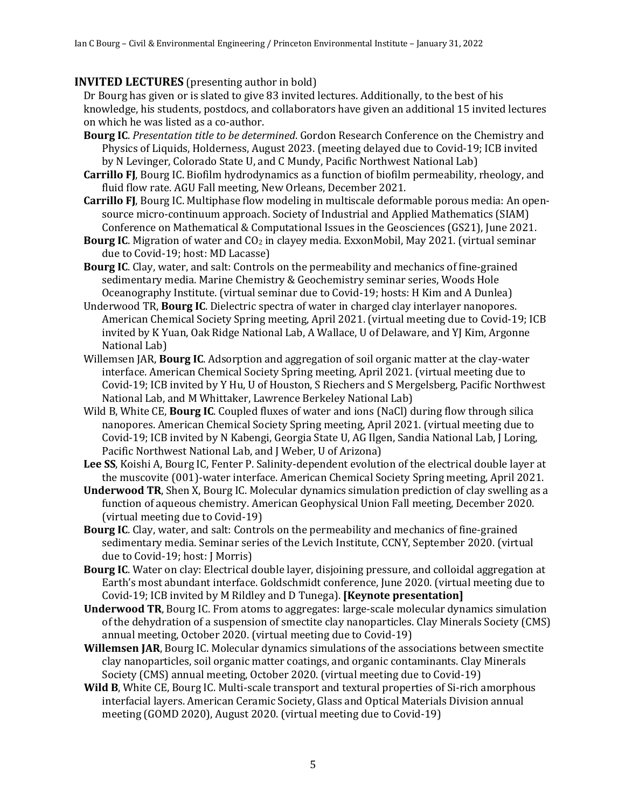# **INVITED LECTURES** (presenting author in bold)

Dr Bourg has given or is slated to give 83 invited lectures. Additionally, to the best of his knowledge, his students, postdocs, and collaborators have given an additional 15 invited lectures on which he was listed as a co-author.

- **Bourg IC**. Presentation title to be determined. Gordon Research Conference on the Chemistry and Physics of Liquids, Holderness, August 2023. (meeting delayed due to Covid-19; ICB invited by N Levinger, Colorado State U, and C Mundy, Pacific Northwest National Lab)
- **Carrillo FJ**, Bourg IC. Biofilm hydrodynamics as a function of biofilm permeability, rheology, and fluid flow rate. AGU Fall meeting, New Orleans, December 2021.
- **Carrillo FJ**, Bourg IC. Multiphase flow modeling in multiscale deformable porous media: An opensource micro-continuum approach. Society of Industrial and Applied Mathematics (SIAM) Conference on Mathematical & Computational Issues in the Geosciences (GS21), June 2021.
- **Bourg IC**. Migration of water and CO<sub>2</sub> in clayey media. ExxonMobil, May 2021. (virtual seminar due to Covid-19; host: MD Lacasse)
- **Bourg IC**. Clay, water, and salt: Controls on the permeability and mechanics of fine-grained sedimentary media. Marine Chemistry & Geochemistry seminar series, Woods Hole Oceanography Institute. (virtual seminar due to Covid-19; hosts: H Kim and A Dunlea)
- Underwood TR, **Bourg IC**. Dielectric spectra of water in charged clay interlayer nanopores. American Chemical Society Spring meeting, April 2021. (virtual meeting due to Covid-19; ICB invited by K Yuan, Oak Ridge National Lab, A Wallace, U of Delaware, and YJ Kim, Argonne National Lab)
- Willemsen JAR, **Bourg IC**. Adsorption and aggregation of soil organic matter at the clay-water interface. American Chemical Society Spring meeting, April 2021. (virtual meeting due to Covid-19; ICB invited by Y Hu, U of Houston, S Riechers and S Mergelsberg, Pacific Northwest National Lab, and M Whittaker, Lawrence Berkeley National Lab)
- Wild B, White CE, **Bourg IC**. Coupled fluxes of water and ions (NaCl) during flow through silica nanopores. American Chemical Society Spring meeting, April 2021. (virtual meeting due to Covid-19; ICB invited by N Kabengi, Georgia State U, AG Ilgen, Sandia National Lab, J Loring, Pacific Northwest National Lab, and J Weber, U of Arizona)
- Lee SS, Koishi A, Bourg IC, Fenter P. Salinity-dependent evolution of the electrical double layer at the muscovite (001)-water interface. American Chemical Society Spring meeting, April 2021.
- **Underwood TR**, Shen X, Bourg IC. Molecular dynamics simulation prediction of clay swelling as a function of aqueous chemistry. American Geophysical Union Fall meeting, December 2020. (virtual meeting due to Covid-19)
- Bourg IC. Clay, water, and salt: Controls on the permeability and mechanics of fine-grained sedimentary media. Seminar series of the Levich Institute, CCNY, September 2020. (virtual due to Covid-19; host: J Morris)
- **Bourg IC**. Water on clay: Electrical double layer, disjoining pressure, and colloidal aggregation at Earth's most abundant interface. Goldschmidt conference, June 2020. (virtual meeting due to Covid-19; ICB invited by M Rildley and D Tunega). [Keynote presentation]
- **Underwood TR**, Bourg IC. From atoms to aggregates: large-scale molecular dynamics simulation of the dehydration of a suspension of smectite clay nanoparticles. Clay Minerals Society (CMS) annual meeting, October 2020. (virtual meeting due to Covid-19)
- **Willemsen JAR**, Bourg IC. Molecular dynamics simulations of the associations between smectite clay nanoparticles, soil organic matter coatings, and organic contaminants. Clay Minerals Society (CMS) annual meeting, October 2020. (virtual meeting due to Covid-19)
- **Wild B**, White CE, Bourg IC. Multi-scale transport and textural properties of Si-rich amorphous interfacial layers. American Ceramic Society, Glass and Optical Materials Division annual meeting (GOMD 2020), August 2020. (virtual meeting due to Covid-19)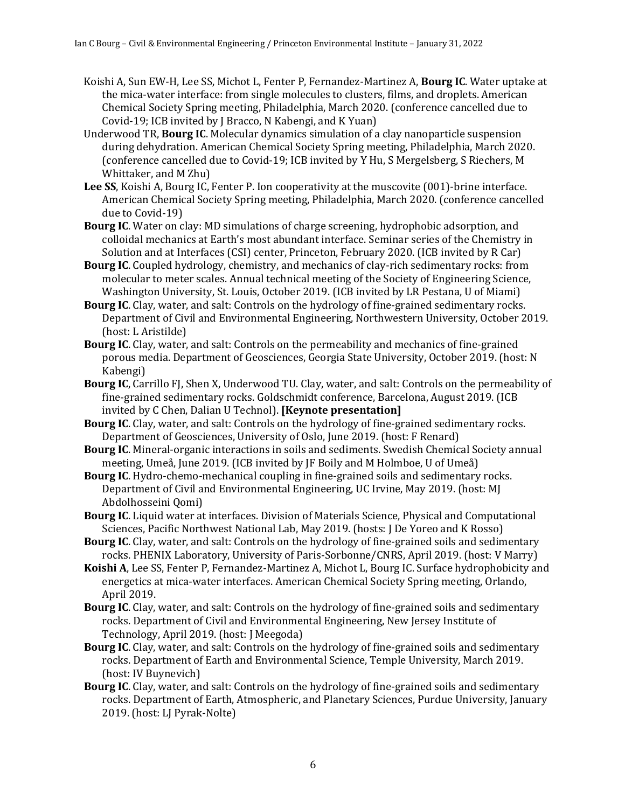- Koishi A, Sun EW-H, Lee SS, Michot L, Fenter P, Fernandez-Martinez A, **Bourg IC**. Water uptake at the mica-water interface: from single molecules to clusters, films, and droplets. American Chemical Society Spring meeting, Philadelphia, March 2020. (conference cancelled due to Covid-19; ICB invited by J Bracco, N Kabengi, and K Yuan)
- Underwood TR, **Bourg IC**. Molecular dynamics simulation of a clay nanoparticle suspension during dehydration. American Chemical Society Spring meeting, Philadelphia, March 2020. (conference cancelled due to Covid-19; ICB invited by Y Hu, S Mergelsberg, S Riechers, M Whittaker, and M Zhu)
- **Lee SS**, Koishi A, Bourg IC, Fenter P. Ion cooperativity at the muscovite (001)-brine interface. American Chemical Society Spring meeting, Philadelphia, March 2020. (conference cancelled due to Covid-19)
- **Bourg IC**. Water on clay: MD simulations of charge screening, hydrophobic adsorption, and colloidal mechanics at Earth's most abundant interface. Seminar series of the Chemistry in Solution and at Interfaces (CSI) center, Princeton, February 2020. (ICB invited by R Car)
- **Bourg IC**. Coupled hydrology, chemistry, and mechanics of clay-rich sedimentary rocks: from molecular to meter scales. Annual technical meeting of the Society of Engineering Science, Washington University, St. Louis, October 2019. (ICB invited by LR Pestana, U of Miami)
- **Bourg IC**. Clay, water, and salt: Controls on the hydrology of fine-grained sedimentary rocks. Department of Civil and Environmental Engineering, Northwestern University, October 2019. (host: L Aristilde)
- **Bourg IC**. Clay, water, and salt: Controls on the permeability and mechanics of fine-grained porous media. Department of Geosciences, Georgia State University, October 2019. (host: N Kabengi)
- **Bourg IC**, Carrillo FJ, Shen X, Underwood TU. Clay, water, and salt: Controls on the permeability of fine-grained sedimentary rocks. Goldschmidt conference, Barcelona, August 2019. (ICB invited by C Chen, Dalian U Technol). **[Keynote presentation]**
- **Bourg IC**. Clay, water, and salt: Controls on the hydrology of fine-grained sedimentary rocks. Department of Geosciences, University of Oslo, June 2019. (host: F Renard)
- **Bourg IC**. Mineral-organic interactions in soils and sediments. Swedish Chemical Society annual meeting, Umeå, June 2019. (ICB invited by JF Boily and M Holmboe, U of Umeå)
- **Bourg IC**. Hydro-chemo-mechanical coupling in fine-grained soils and sedimentary rocks. Department of Civil and Environmental Engineering, UC Irvine, May 2019. (host: MJ Abdolhosseini Qomi)
- Bourg IC. Liquid water at interfaces. Division of Materials Science, Physical and Computational Sciences, Pacific Northwest National Lab, May 2019. (hosts: J De Yoreo and K Rosso)
- **Bourg IC**. Clay, water, and salt: Controls on the hydrology of fine-grained soils and sedimentary rocks. PHENIX Laboratory, University of Paris-Sorbonne/CNRS, April 2019. (host: V Marry)
- Koishi A, Lee SS, Fenter P, Fernandez-Martinez A, Michot L, Bourg IC. Surface hydrophobicity and energetics at mica-water interfaces. American Chemical Society Spring meeting, Orlando, April 2019.
- **Bourg IC**. Clay, water, and salt: Controls on the hydrology of fine-grained soils and sedimentary rocks. Department of Civil and Environmental Engineering, New Jersey Institute of Technology, April 2019. (host: J Meegoda)
- **Bourg IC**. Clay, water, and salt: Controls on the hydrology of fine-grained soils and sedimentary rocks. Department of Earth and Environmental Science, Temple University, March 2019. (host: IV Buynevich)
- **Bourg IC.** Clay, water, and salt: Controls on the hydrology of fine-grained soils and sedimentary rocks. Department of Earth, Atmospheric, and Planetary Sciences, Purdue University, January 2019. (host: LJ Pyrak-Nolte)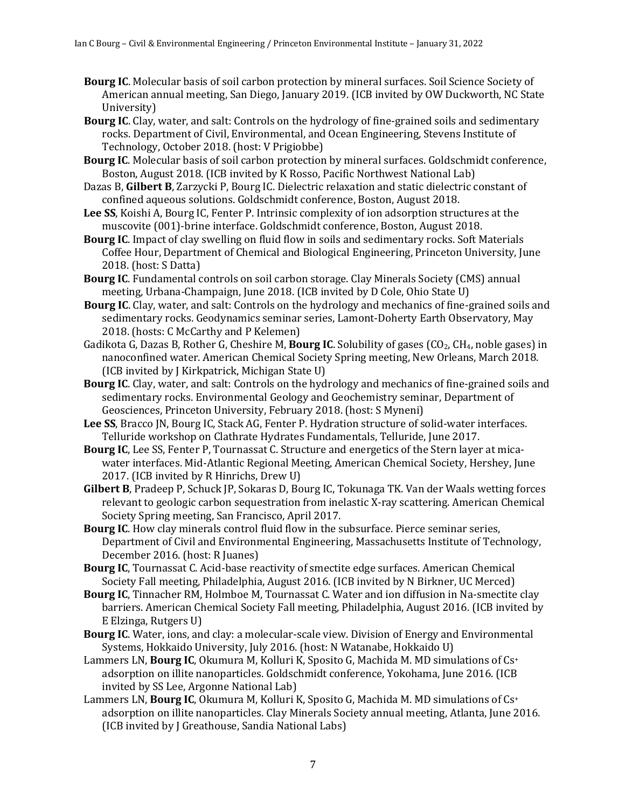- **Bourg IC.** Molecular basis of soil carbon protection by mineral surfaces. Soil Science Society of American annual meeting, San Diego, January 2019. (ICB invited by OW Duckworth, NC State University)
- **Bourg IC.** Clay, water, and salt: Controls on the hydrology of fine-grained soils and sedimentary rocks. Department of Civil, Environmental, and Ocean Engineering, Stevens Institute of Technology, October 2018. (host: V Prigiobbe)
- **Bourg IC**. Molecular basis of soil carbon protection by mineral surfaces. Goldschmidt conference, Boston, August 2018. (ICB invited by K Rosso, Pacific Northwest National Lab)
- Dazas B, Gilbert B, Zarzycki P, Bourg IC. Dielectric relaxation and static dielectric constant of confined aqueous solutions. Goldschmidt conference, Boston, August 2018.
- Lee SS, Koishi A, Bourg IC, Fenter P. Intrinsic complexity of ion adsorption structures at the muscovite (001)-brine interface. Goldschmidt conference, Boston, August 2018.
- **Bourg IC.** Impact of clay swelling on fluid flow in soils and sedimentary rocks. Soft Materials Coffee Hour, Department of Chemical and Biological Engineering, Princeton University, June 2018. (host: S Datta)
- **Bourg IC.** Fundamental controls on soil carbon storage. Clay Minerals Society (CMS) annual meeting, Urbana-Champaign, June 2018. (ICB invited by D Cole, Ohio State U)
- **Bourg IC**. Clay, water, and salt: Controls on the hydrology and mechanics of fine-grained soils and sedimentary rocks. Geodynamics seminar series, Lamont-Doherty Earth Observatory, May 2018. (hosts: C McCarthy and P Kelemen)
- Gadikota G, Dazas B, Rother G, Cheshire M, **Bourg IC**. Solubility of gases (CO<sub>2</sub>, CH<sub>4</sub>, noble gases) in nanoconfined water. American Chemical Society Spring meeting, New Orleans, March 2018. (ICB invited by J Kirkpatrick, Michigan State U)
- **Bourg IC**. Clay, water, and salt: Controls on the hydrology and mechanics of fine-grained soils and sedimentary rocks. Environmental Geology and Geochemistry seminar, Department of Geosciences, Princeton University, February 2018. (host: S Myneni)
- Lee SS, Bracco JN, Bourg IC, Stack AG, Fenter P. Hydration structure of solid-water interfaces. Telluride workshop on Clathrate Hydrates Fundamentals, Telluride, June 2017.
- **Bourg IC**, Lee SS, Fenter P, Tournassat C. Structure and energetics of the Stern layer at micawater interfaces. Mid-Atlantic Regional Meeting, American Chemical Society, Hershey, June 2017. (ICB invited by R Hinrichs, Drew U)
- **Gilbert B**, Pradeep P, Schuck JP, Sokaras D, Bourg IC, Tokunaga TK. Van der Waals wetting forces relevant to geologic carbon sequestration from inelastic X-ray scattering. American Chemical Society Spring meeting, San Francisco, April 2017.
- **Bourg IC**. How clay minerals control fluid flow in the subsurface. Pierce seminar series, Department of Civil and Environmental Engineering, Massachusetts Institute of Technology, December 2016. (host: R Juanes)
- Bourg IC, Tournassat C. Acid-base reactivity of smectite edge surfaces. American Chemical Society Fall meeting, Philadelphia, August 2016. (ICB invited by N Birkner, UC Merced)
- **Bourg IC**, Tinnacher RM, Holmboe M, Tournassat C. Water and ion diffusion in Na-smectite clay barriers. American Chemical Society Fall meeting, Philadelphia, August 2016. (ICB invited by E Elzinga, Rutgers U)
- Bourg IC. Water, ions, and clay: a molecular-scale view. Division of Energy and Environmental Systems, Hokkaido University, July 2016. (host: N Watanabe, Hokkaido U)
- Lammers LN, Bourg IC, Okumura M, Kolluri K, Sposito G, Machida M. MD simulations of Cs<sup>+</sup> adsorption on illite nanoparticles. Goldschmidt conference, Yokohama, June 2016. (ICB invited by SS Lee, Argonne National Lab)
- Lammers LN, **Bourg IC**, Okumura M, Kolluri K, Sposito G, Machida M. MD simulations of Cs<sup>+</sup> adsorption on illite nanoparticles. Clay Minerals Society annual meeting, Atlanta, June 2016. (ICB invited by J Greathouse, Sandia National Labs)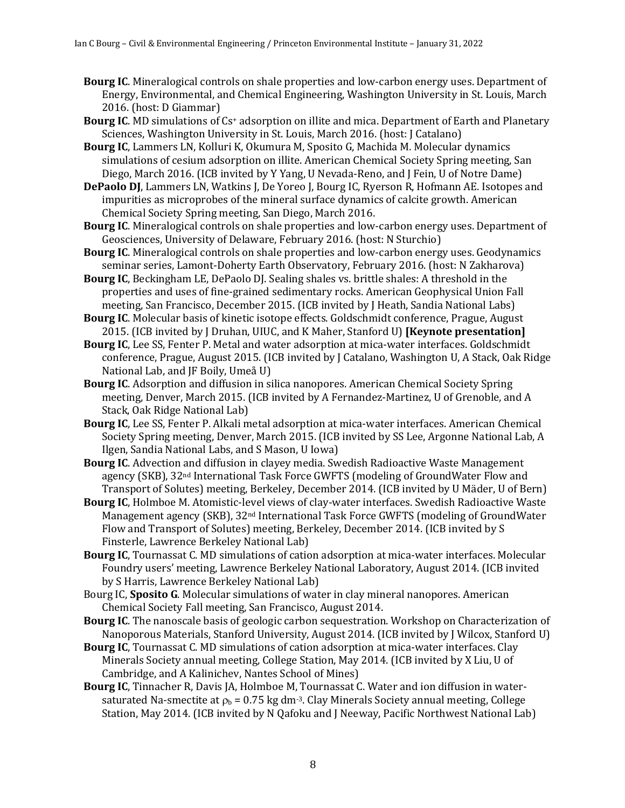- **Bourg IC.** Mineralogical controls on shale properties and low-carbon energy uses. Department of Energy, Environmental, and Chemical Engineering, Washington University in St. Louis, March 2016. (host: D Giammar)
- **Bourg IC.** MD simulations of Cs<sup>+</sup> adsorption on illite and mica. Department of Earth and Planetary Sciences, Washington University in St. Louis, March 2016. (host: J Catalano)
- **Bourg IC**, Lammers LN, Kolluri K, Okumura M, Sposito G, Machida M. Molecular dynamics simulations of cesium adsorption on illite. American Chemical Society Spring meeting, San Diego, March 2016. (ICB invited by Y Yang, U Nevada-Reno, and J Fein, U of Notre Dame)
- **DePaolo DJ**, Lammers LN, Watkins J, De Yoreo J, Bourg IC, Ryerson R, Hofmann AE. Isotopes and impurities as microprobes of the mineral surface dynamics of calcite growth. American Chemical Society Spring meeting, San Diego, March 2016.
- **Bourg IC**. Mineralogical controls on shale properties and low-carbon energy uses. Department of Geosciences, University of Delaware, February 2016. (host: N Sturchio)
- **Bourg IC**. Mineralogical controls on shale properties and low-carbon energy uses. Geodynamics seminar series, Lamont-Doherty Earth Observatory, February 2016. (host: N Zakharova)
- **Bourg IC**, Beckingham LE, DePaolo DJ. Sealing shales vs. brittle shales: A threshold in the properties and uses of fine-grained sedimentary rocks. American Geophysical Union Fall meeting, San Francisco, December 2015. (ICB invited by J Heath, Sandia National Labs)
- Bourg IC. Molecular basis of kinetic isotope effects. Goldschmidt conference, Prague, August 2015. (ICB invited by J Druhan, UIUC, and K Maher, Stanford U) [Keynote presentation]
- Bourg IC, Lee SS, Fenter P. Metal and water adsorption at mica-water interfaces. Goldschmidt conference, Prague, August 2015. (ICB invited by J Catalano, Washington U, A Stack, Oak Ridge National Lab, and JF Boily, Umeå U)
- **Bourg IC.** Adsorption and diffusion in silica nanopores. American Chemical Society Spring meeting, Denver, March 2015. (ICB invited by A Fernandez-Martinez, U of Grenoble, and A Stack, Oak Ridge National Lab)
- **Bourg IC**, Lee SS, Fenter P. Alkali metal adsorption at mica-water interfaces. American Chemical Society Spring meeting, Denver, March 2015. (ICB invited by SS Lee, Argonne National Lab, A Ilgen, Sandia National Labs, and S Mason, U Iowa)
- **Bourg IC.** Advection and diffusion in clayey media. Swedish Radioactive Waste Management agency (SKB), 32<sup>nd</sup> International Task Force GWFTS (modeling of GroundWater Flow and Transport of Solutes) meeting, Berkeley, December 2014. (ICB invited by U Mäder, U of Bern)
- Bourg IC, Holmboe M. Atomistic-level views of clay-water interfaces. Swedish Radioactive Waste Management agency (SKB), 32<sup>nd</sup> International Task Force GWFTS (modeling of GroundWater Flow and Transport of Solutes) meeting, Berkeley, December 2014. (ICB invited by S Finsterle, Lawrence Berkeley National Lab)
- **Bourg IC**, Tournassat C. MD simulations of cation adsorption at mica-water interfaces. Molecular Foundry users' meeting, Lawrence Berkeley National Laboratory, August 2014. (ICB invited by S Harris, Lawrence Berkeley National Lab)
- Bourg IC, Sposito G. Molecular simulations of water in clay mineral nanopores. American Chemical Society Fall meeting, San Francisco, August 2014.
- **Bourg IC**. The nanoscale basis of geologic carbon sequestration. Workshop on Characterization of Nanoporous Materials, Stanford University, August 2014. (ICB invited by J Wilcox, Stanford U)
- **Bourg IC**, Tournassat C. MD simulations of cation adsorption at mica-water interfaces. Clay Minerals Society annual meeting, College Station, May 2014. (ICB invited by X Liu, U of Cambridge, and A Kalinichev, Nantes School of Mines)
- **Bourg IC**, Tinnacher R, Davis JA, Holmboe M, Tournassat C. Water and ion diffusion in watersaturated Na-smectite at  $\rho_b = 0.75$  kg dm<sup>-3</sup>. Clay Minerals Society annual meeting, College Station, May 2014. (ICB invited by N Qafoku and J Neeway, Pacific Northwest National Lab)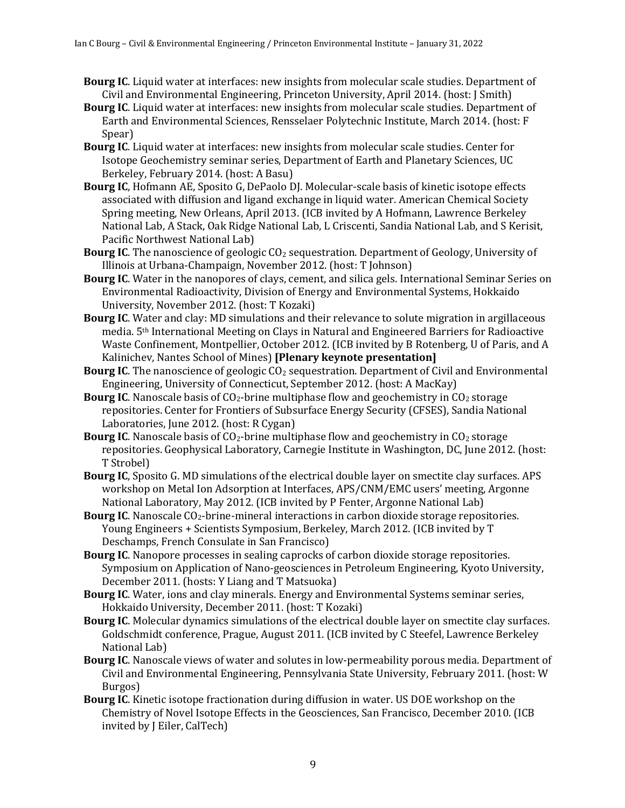- **Bourg IC.** Liquid water at interfaces: new insights from molecular scale studies. Department of Civil and Environmental Engineering, Princeton University, April 2014. (host: J Smith)
- **Bourg IC.** Liquid water at interfaces: new insights from molecular scale studies. Department of Earth and Environmental Sciences, Rensselaer Polytechnic Institute, March 2014. (host: F Spear)
- **Bourg IC.** Liquid water at interfaces: new insights from molecular scale studies. Center for Isotope Geochemistry seminar series, Department of Earth and Planetary Sciences, UC Berkeley, February 2014. (host: A Basu)
- **Bourg IC**, Hofmann AE, Sposito G, DePaolo DJ. Molecular-scale basis of kinetic isotope effects associated with diffusion and ligand exchange in liquid water. American Chemical Society Spring meeting, New Orleans, April 2013. (ICB invited by A Hofmann, Lawrence Berkeley National Lab, A Stack, Oak Ridge National Lab, L Criscenti, Sandia National Lab, and S Kerisit, Pacific Northwest National Lab)
- **Bourg IC**. The nanoscience of geologic CO<sub>2</sub> sequestration. Department of Geology, University of Illinois at Urbana-Champaign, November 2012. (host: T Johnson)
- **Bourg IC**. Water in the nanopores of clays, cement, and silica gels. International Seminar Series on Environmental Radioactivity, Division of Energy and Environmental Systems, Hokkaido University, November 2012. (host: T Kozaki)
- **Bourg IC**. Water and clay: MD simulations and their relevance to solute migration in argillaceous media. 5<sup>th</sup> International Meeting on Clays in Natural and Engineered Barriers for Radioactive Waste Confinement, Montpellier, October 2012. (ICB invited by B Rotenberg, U of Paris, and A Kalinichev, Nantes School of Mines) [Plenary keynote presentation]
- **Bourg IC**. The nanoscience of geologic CO<sub>2</sub> sequestration. Department of Civil and Environmental Engineering, University of Connecticut, September 2012. (host: A MacKay)
- **Bourg IC**. Nanoscale basis of CO<sub>2</sub>-brine multiphase flow and geochemistry in CO<sub>2</sub> storage repositories. Center for Frontiers of Subsurface Energy Security (CFSES), Sandia National Laboratories, June 2012. (host: R Cygan)
- **Bourg IC**. Nanoscale basis of CO<sub>2</sub>-brine multiphase flow and geochemistry in CO<sub>2</sub> storage repositories. Geophysical Laboratory, Carnegie Institute in Washington, DC, June 2012. (host: T Strobel)
- **Bourg IC**, Sposito G. MD simulations of the electrical double layer on smectite clay surfaces. APS workshop on Metal Ion Adsorption at Interfaces, APS/CNM/EMC users' meeting, Argonne National Laboratory, May 2012. (ICB invited by P Fenter, Argonne National Lab)
- **Bourg IC**. Nanoscale CO<sub>2</sub>-brine-mineral interactions in carbon dioxide storage repositories. Young Engineers + Scientists Symposium, Berkeley, March 2012. (ICB invited by T Deschamps, French Consulate in San Francisco)
- **Bourg IC**. Nanopore processes in sealing caprocks of carbon dioxide storage repositories. Symposium on Application of Nano-geosciences in Petroleum Engineering, Kyoto University, December 2011. (hosts: Y Liang and T Matsuoka)
- Bourg IC. Water, ions and clay minerals. Energy and Environmental Systems seminar series, Hokkaido University, December 2011. (host: T Kozaki)
- **Bourg IC**. Molecular dynamics simulations of the electrical double layer on smectite clay surfaces. Goldschmidt conference, Prague, August 2011. (ICB invited by C Steefel, Lawrence Berkeley National Lab)
- **Bourg IC**. Nanoscale views of water and solutes in low-permeability porous media. Department of Civil and Environmental Engineering, Pennsylvania State University, February 2011. (host: W Burgos)
- **Bourg IC**. Kinetic isotope fractionation during diffusion in water. US DOE workshop on the Chemistry of Novel Isotope Effects in the Geosciences, San Francisco, December 2010. (ICB invited by J Eiler, CalTech)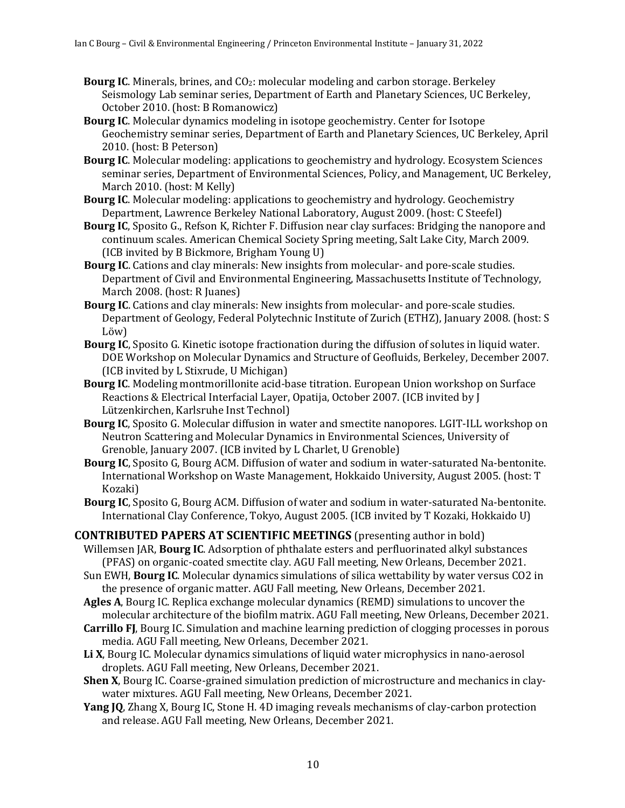- **Bourg IC**. Minerals, brines, and CO<sub>2</sub>: molecular modeling and carbon storage. Berkeley Seismology Lab seminar series, Department of Earth and Planetary Sciences, UC Berkeley, October 2010. (host: B Romanowicz)
- **Bourg IC**. Molecular dynamics modeling in isotope geochemistry. Center for Isotope Geochemistry seminar series, Department of Earth and Planetary Sciences, UC Berkeley, April 2010. (host: B Peterson)
- **Bourg IC.** Molecular modeling: applications to geochemistry and hydrology. Ecosystem Sciences seminar series, Department of Environmental Sciences, Policy, and Management, UC Berkeley, March 2010. (host: M Kelly)
- **Bourg IC**. Molecular modeling: applications to geochemistry and hydrology. Geochemistry Department, Lawrence Berkeley National Laboratory, August 2009. (host: C Steefel)
- **Bourg IC**, Sposito G., Refson K, Richter F. Diffusion near clay surfaces: Bridging the nanopore and continuum scales. American Chemical Society Spring meeting, Salt Lake City, March 2009. (ICB invited by B Bickmore, Brigham Young U)
- **Bourg IC**. Cations and clay minerals: New insights from molecular- and pore-scale studies. Department of Civil and Environmental Engineering, Massachusetts Institute of Technology, March 2008. (host: R Juanes)
- **Bourg IC**. Cations and clay minerals: New insights from molecular- and pore-scale studies. Department of Geology, Federal Polytechnic Institute of Zurich (ETHZ), January 2008. (host: S Löw)
- **Bourg IC**, Sposito G. Kinetic isotope fractionation during the diffusion of solutes in liquid water. DOE Workshop on Molecular Dynamics and Structure of Geofluids, Berkeley, December 2007. (ICB invited by L Stixrude, U Michigan)
- **Bourg IC**. Modeling montmorillonite acid-base titration. European Union workshop on Surface Reactions & Electrical Interfacial Layer, Opatija, October 2007. (ICB invited by J Lützenkirchen, Karlsruhe Inst Technol)
- **Bourg IC**, Sposito G. Molecular diffusion in water and smectite nanopores. LGIT-ILL workshop on Neutron Scattering and Molecular Dynamics in Environmental Sciences, University of Grenoble, January 2007. (ICB invited by L Charlet, U Grenoble)
- **Bourg IC**, Sposito G, Bourg ACM. Diffusion of water and sodium in water-saturated Na-bentonite. International Workshop on Waste Management, Hokkaido University, August 2005. (host: T Kozaki)
- **Bourg IC**, Sposito G, Bourg ACM. Diffusion of water and sodium in water-saturated Na-bentonite. International Clay Conference, Tokyo, August 2005. (ICB invited by T Kozaki, Hokkaido U)
- **CONTRIBUTED PAPERS AT SCIENTIFIC MEETINGS** (presenting author in bold) Willemsen JAR, **Bourg IC**. Adsorption of phthalate esters and perfluorinated alkyl substances (PFAS) on organic-coated smectite clay. AGU Fall meeting, New Orleans, December 2021.
	- Sun EWH, **Bourg IC**. Molecular dynamics simulations of silica wettability by water versus CO2 in the presence of organic matter. AGU Fall meeting, New Orleans, December 2021.
	- Agles A, Bourg IC. Replica exchange molecular dynamics (REMD) simulations to uncover the molecular architecture of the biofilm matrix. AGU Fall meeting, New Orleans, December 2021.
	- **Carrillo FJ**, Bourg IC. Simulation and machine learning prediction of clogging processes in porous media. AGU Fall meeting, New Orleans, December 2021.
	- Li X, Bourg IC. Molecular dynamics simulations of liquid water microphysics in nano-aerosol droplets. AGU Fall meeting, New Orleans, December 2021.
	- **Shen X**, Bourg IC. Coarse-grained simulation prediction of microstructure and mechanics in claywater mixtures. AGU Fall meeting, New Orleans, December 2021.
	- **Yang JQ**, Zhang X, Bourg IC, Stone H. 4D imaging reveals mechanisms of clay-carbon protection and release. AGU Fall meeting, New Orleans, December 2021.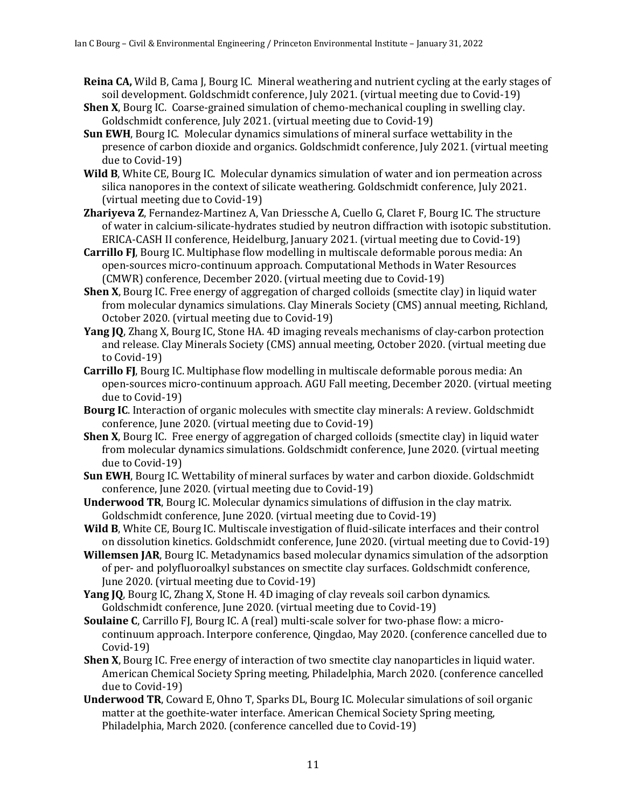- **Reina CA,** Wild B, Cama J, Bourg IC. Mineral weathering and nutrient cycling at the early stages of soil development. Goldschmidt conference, July 2021. (virtual meeting due to Covid-19)
- **Shen X**, Bourg IC. Coarse-grained simulation of chemo-mechanical coupling in swelling clay. Goldschmidt conference, July 2021. (virtual meeting due to Covid-19)
- **Sun EWH**, Bourg IC. Molecular dynamics simulations of mineral surface wettability in the presence of carbon dioxide and organics. Goldschmidt conference, July 2021. (virtual meeting due to Covid-19)
- **Wild B**, White CE, Bourg IC. Molecular dynamics simulation of water and ion permeation across silica nanopores in the context of silicate weathering. Goldschmidt conference, July 2021. (virtual meeting due to Covid-19)
- **Zhariyeva Z**, Fernandez-Martinez A, Van Driessche A, Cuello G, Claret F, Bourg IC. The structure of water in calcium-silicate-hydrates studied by neutron diffraction with isotopic substitution. ERICA-CASH II conference, Heidelburg, January 2021. (virtual meeting due to Covid-19)
- **Carrillo FJ**, Bourg IC. Multiphase flow modelling in multiscale deformable porous media: An open-sources micro-continuum approach. Computational Methods in Water Resources (CMWR) conference, December 2020. (virtual meeting due to Covid-19)
- **Shen X**, Bourg IC. Free energy of aggregation of charged colloids (smectite clay) in liquid water from molecular dynamics simulations. Clay Minerals Society (CMS) annual meeting, Richland, October 2020. (virtual meeting due to Covid-19)
- **Yang JQ**, Zhang X, Bourg IC, Stone HA. 4D imaging reveals mechanisms of clay-carbon protection and release. Clay Minerals Society (CMS) annual meeting, October 2020. (virtual meeting due to Covid-19)
- **Carrillo FJ**, Bourg IC. Multiphase flow modelling in multiscale deformable porous media: An open-sources micro-continuum approach. AGU Fall meeting, December 2020. (virtual meeting due to Covid-19)
- **Bourg IC**. Interaction of organic molecules with smectite clay minerals: A review. Goldschmidt conference, June 2020. (virtual meeting due to Covid-19)
- **Shen X**, Bourg IC. Free energy of aggregation of charged colloids (smectite clay) in liquid water from molecular dynamics simulations. Goldschmidt conference, June 2020. (virtual meeting due to Covid-19)
- **Sun EWH**, Bourg IC. Wettability of mineral surfaces by water and carbon dioxide. Goldschmidt conference, June 2020. (virtual meeting due to Covid-19)
- **Underwood TR**, Bourg IC. Molecular dynamics simulations of diffusion in the clay matrix. Goldschmidt conference, June 2020. (virtual meeting due to Covid-19)
- **Wild B**, White CE, Bourg IC. Multiscale investigation of fluid-silicate interfaces and their control on dissolution kinetics. Goldschmidt conference, June 2020. (virtual meeting due to Covid-19)
- **Willemsen JAR**, Bourg IC. Metadynamics based molecular dynamics simulation of the adsorption of per- and polyfluoroalkyl substances on smectite clay surfaces. Goldschmidt conference, June 2020. (virtual meeting due to Covid-19)
- **Yang JQ**, Bourg IC, Zhang X, Stone H. 4D imaging of clay reveals soil carbon dynamics. Goldschmidt conference, June 2020. (virtual meeting due to Covid-19)
- **Soulaine C**, Carrillo FJ, Bourg IC. A (real) multi-scale solver for two-phase flow: a microcontinuum approach. Interpore conference, Qingdao, May 2020. (conference cancelled due to Covid-19)
- **Shen X**, Bourg IC. Free energy of interaction of two smectite clay nanoparticles in liquid water. American Chemical Society Spring meeting, Philadelphia, March 2020. (conference cancelled due to Covid-19)
- **Underwood TR**, Coward E, Ohno T, Sparks DL, Bourg IC. Molecular simulations of soil organic matter at the goethite-water interface. American Chemical Society Spring meeting, Philadelphia, March 2020. (conference cancelled due to Covid-19)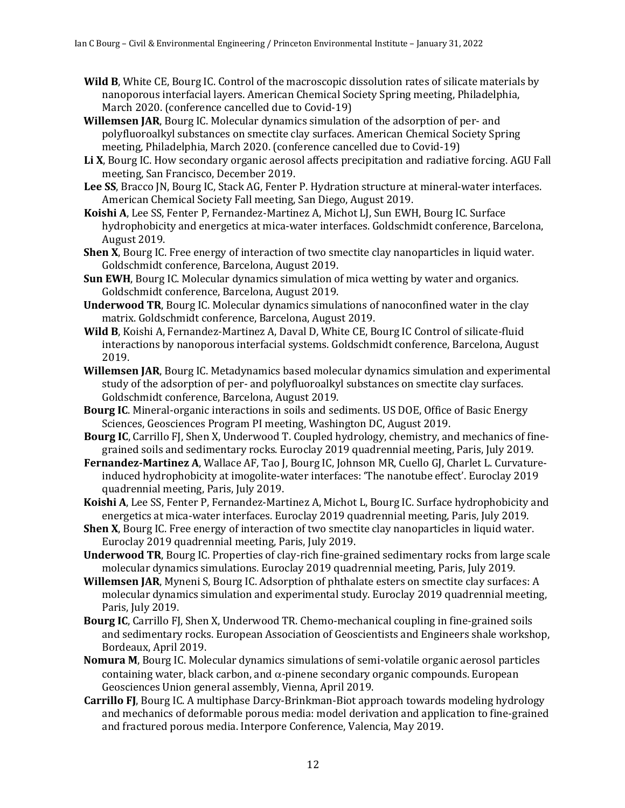- **Wild B**, White CE, Bourg IC. Control of the macroscopic dissolution rates of silicate materials by nanoporous interfacial layers. American Chemical Society Spring meeting, Philadelphia, March 2020. (conference cancelled due to Covid-19)
- **Willemsen JAR**, Bourg IC. Molecular dynamics simulation of the adsorption of per- and polyfluoroalkyl substances on smectite clay surfaces. American Chemical Society Spring meeting, Philadelphia, March 2020. (conference cancelled due to Covid-19)
- Li X, Bourg IC. How secondary organic aerosol affects precipitation and radiative forcing. AGU Fall meeting, San Francisco, December 2019.
- Lee SS, Bracco JN, Bourg IC, Stack AG, Fenter P. Hydration structure at mineral-water interfaces. American Chemical Society Fall meeting, San Diego, August 2019.
- Koishi A, Lee SS, Fenter P, Fernandez-Martinez A, Michot LJ, Sun EWH, Bourg IC. Surface hydrophobicity and energetics at mica-water interfaces. Goldschmidt conference, Barcelona, August 2019.
- **Shen X**, Bourg IC. Free energy of interaction of two smectite clay nanoparticles in liquid water. Goldschmidt conference, Barcelona, August 2019.
- **Sun EWH**, Bourg IC. Molecular dynamics simulation of mica wetting by water and organics. Goldschmidt conference, Barcelona, August 2019.
- **Underwood TR**, Bourg IC. Molecular dynamics simulations of nanoconfined water in the clay matrix. Goldschmidt conference, Barcelona, August 2019.
- Wild B, Koishi A, Fernandez-Martinez A, Daval D, White CE, Bourg IC Control of silicate-fluid interactions by nanoporous interfacial systems. Goldschmidt conference, Barcelona, August 2019.
- **Willemsen JAR**, Bourg IC. Metadynamics based molecular dynamics simulation and experimental study of the adsorption of per- and polyfluoroalkyl substances on smectite clay surfaces. Goldschmidt conference, Barcelona, August 2019.
- **Bourg IC**. Mineral-organic interactions in soils and sediments. US DOE, Office of Basic Energy Sciences, Geosciences Program PI meeting, Washington DC, August 2019.
- **Bourg IC**, Carrillo FJ, Shen X, Underwood T. Coupled hydrology, chemistry, and mechanics of finegrained soils and sedimentary rocks. Euroclay 2019 quadrennial meeting, Paris, July 2019.
- Fernandez-Martinez A, Wallace AF, Tao J, Bourg IC, Johnson MR, Cuello GJ, Charlet L. Curvatureinduced hydrophobicity at imogolite-water interfaces: 'The nanotube effect'. Euroclay 2019 quadrennial meeting, Paris, July 2019.
- Koishi A, Lee SS, Fenter P, Fernandez-Martinez A, Michot L, Bourg IC. Surface hydrophobicity and energetics at mica-water interfaces. Euroclay 2019 quadrennial meeting, Paris, July 2019.
- **Shen X**, Bourg IC. Free energy of interaction of two smectite clay nanoparticles in liquid water. Euroclay 2019 quadrennial meeting, Paris, July 2019.
- **Underwood TR**, Bourg IC. Properties of clay-rich fine-grained sedimentary rocks from large scale molecular dynamics simulations. Euroclay 2019 quadrennial meeting, Paris, July 2019.
- **Willemsen JAR**, Myneni S, Bourg IC. Adsorption of phthalate esters on smectite clay surfaces: A molecular dynamics simulation and experimental study. Euroclay 2019 quadrennial meeting, Paris, July 2019.
- **Bourg IC**, Carrillo FJ, Shen X, Underwood TR. Chemo-mechanical coupling in fine-grained soils and sedimentary rocks. European Association of Geoscientists and Engineers shale workshop, Bordeaux, April 2019.
- Nomura M, Bourg IC. Molecular dynamics simulations of semi-volatile organic aerosol particles containing water, black carbon, and  $\alpha$ -pinene secondary organic compounds. European Geosciences Union general assembly, Vienna, April 2019.
- **Carrillo FJ**, Bourg IC. A multiphase Darcy-Brinkman-Biot approach towards modeling hydrology and mechanics of deformable porous media: model derivation and application to fine-grained and fractured porous media. Interpore Conference, Valencia, May 2019.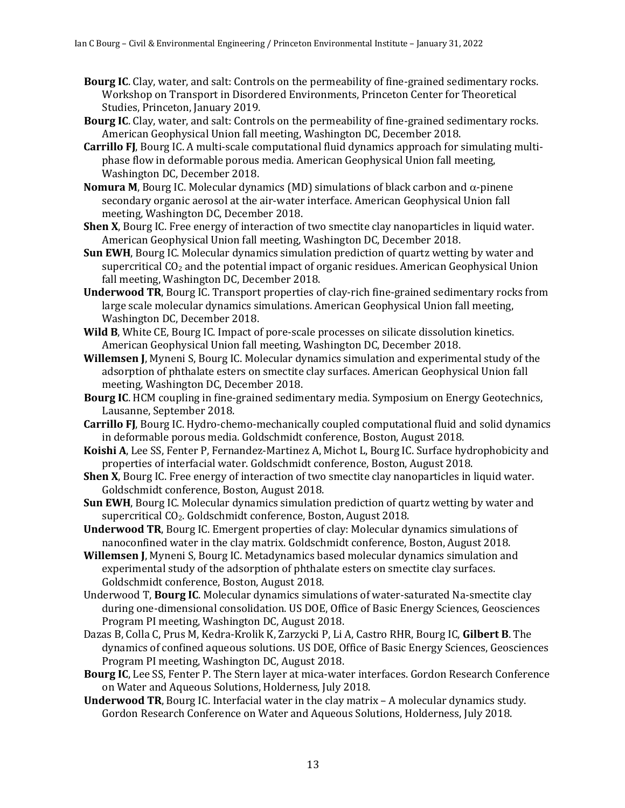- **Bourg IC**. Clay, water, and salt: Controls on the permeability of fine-grained sedimentary rocks. Workshop on Transport in Disordered Environments, Princeton Center for Theoretical Studies, Princeton, January 2019.
- **Bourg IC**. Clay, water, and salt: Controls on the permeability of fine-grained sedimentary rocks. American Geophysical Union fall meeting, Washington DC, December 2018.
- **Carrillo FJ**, Bourg IC. A multi-scale computational fluid dynamics approach for simulating multiphase flow in deformable porous media. American Geophysical Union fall meeting, Washington DC, December 2018.
- **Nomura M**, Bourg IC. Molecular dynamics (MD) simulations of black carbon and  $\alpha$ -pinene secondary organic aerosol at the air-water interface. American Geophysical Union fall meeting, Washington DC, December 2018.
- **Shen X**, Bourg IC. Free energy of interaction of two smectite clay nanoparticles in liquid water. American Geophysical Union fall meeting, Washington DC, December 2018.
- **Sun EWH**, Bourg IC. Molecular dynamics simulation prediction of quartz wetting by water and supercritical  $CO<sub>2</sub>$  and the potential impact of organic residues. American Geophysical Union fall meeting, Washington DC, December 2018.
- **Underwood TR**, Bourg IC. Transport properties of clay-rich fine-grained sedimentary rocks from large scale molecular dynamics simulations. American Geophysical Union fall meeting, Washington DC, December 2018.
- **Wild B**, White CE, Bourg IC. Impact of pore-scale processes on silicate dissolution kinetics. American Geophysical Union fall meeting, Washington DC, December 2018.
- **Willemsen J**, Myneni S, Bourg IC. Molecular dynamics simulation and experimental study of the adsorption of phthalate esters on smectite clay surfaces. American Geophysical Union fall meeting, Washington DC, December 2018.
- **Bourg IC.** HCM coupling in fine-grained sedimentary media. Symposium on Energy Geotechnics, Lausanne, September 2018.
- **Carrillo FJ**, Bourg IC. Hydro-chemo-mechanically coupled computational fluid and solid dynamics in deformable porous media. Goldschmidt conference, Boston, August 2018.
- **Koishi A,** Lee SS, Fenter P, Fernandez-Martinez A, Michot L, Bourg IC. Surface hydrophobicity and properties of interfacial water. Goldschmidt conference, Boston, August 2018.
- **Shen X**, Bourg IC. Free energy of interaction of two smectite clay nanoparticles in liquid water. Goldschmidt conference, Boston, August 2018.
- **Sun EWH**, Bourg IC. Molecular dynamics simulation prediction of quartz wetting by water and supercritical CO<sub>2</sub>. Goldschmidt conference, Boston, August 2018.
- **Underwood TR**, Bourg IC. Emergent properties of clay: Molecular dynamics simulations of nanoconfined water in the clay matrix. Goldschmidt conference, Boston, August 2018.
- **Willemsen J**, Myneni S, Bourg IC. Metadynamics based molecular dynamics simulation and experimental study of the adsorption of phthalate esters on smectite clay surfaces. Goldschmidt conference, Boston, August 2018.
- Underwood T, **Bourg IC**. Molecular dynamics simulations of water-saturated Na-smectite clay during one-dimensional consolidation. US DOE, Office of Basic Energy Sciences, Geosciences Program PI meeting, Washington DC, August 2018.
- Dazas B, Colla C, Prus M, Kedra-Krolik K, Zarzycki P, Li A, Castro RHR, Bourg IC, Gilbert B. The dynamics of confined aqueous solutions. US DOE, Office of Basic Energy Sciences, Geosciences Program PI meeting, Washington DC, August 2018.
- **Bourg IC**, Lee SS, Fenter P. The Stern layer at mica-water interfaces. Gordon Research Conference on Water and Aqueous Solutions, Holderness, July 2018.
- **Underwood TR**, Bourg IC. Interfacial water in the clay matrix A molecular dynamics study. Gordon Research Conference on Water and Aqueous Solutions, Holderness, July 2018.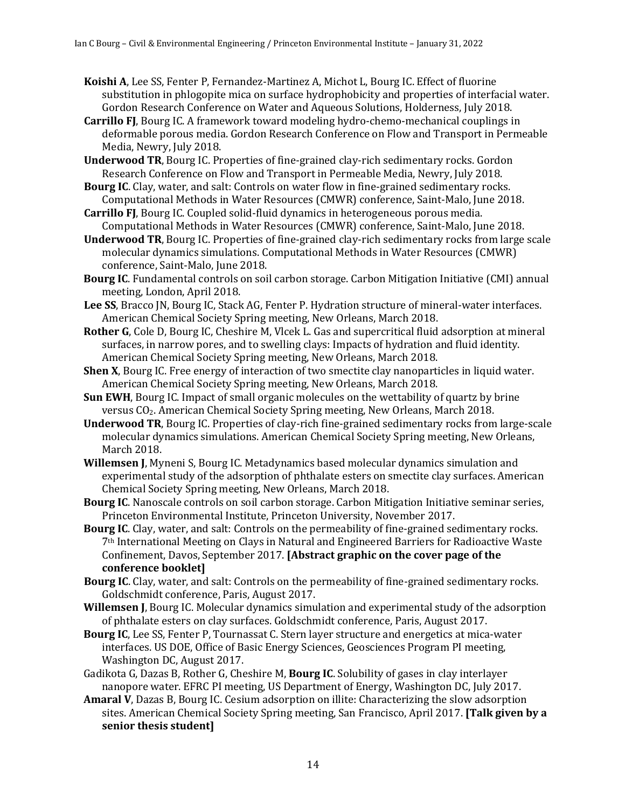- **Koishi A,** Lee SS, Fenter P, Fernandez-Martinez A, Michot L, Bourg IC. Effect of fluorine substitution in phlogopite mica on surface hydrophobicity and properties of interfacial water. Gordon Research Conference on Water and Aqueous Solutions, Holderness, July 2018.
- **Carrillo FJ**, Bourg IC. A framework toward modeling hydro-chemo-mechanical couplings in deformable porous media. Gordon Research Conference on Flow and Transport in Permeable Media, Newry, July 2018.
- **Underwood TR**, Bourg IC. Properties of fine-grained clay-rich sedimentary rocks. Gordon Research Conference on Flow and Transport in Permeable Media, Newry, July 2018.
- **Bourg IC**. Clay, water, and salt: Controls on water flow in fine-grained sedimentary rocks. Computational Methods in Water Resources (CMWR) conference, Saint-Malo, June 2018.
- **Carrillo FJ**, Bourg IC. Coupled solid-fluid dynamics in heterogeneous porous media. Computational Methods in Water Resources (CMWR) conference, Saint-Malo, June 2018.
- **Underwood TR**, Bourg IC. Properties of fine-grained clay-rich sedimentary rocks from large scale molecular dynamics simulations. Computational Methods in Water Resources (CMWR) conference, Saint-Malo, June 2018.
- **Bourg IC.** Fundamental controls on soil carbon storage. Carbon Mitigation Initiative (CMI) annual meeting, London, April 2018.
- Lee SS, Bracco JN, Bourg IC, Stack AG, Fenter P. Hydration structure of mineral-water interfaces. American Chemical Society Spring meeting, New Orleans, March 2018.
- Rother G, Cole D, Bourg IC, Cheshire M, Vlcek L. Gas and supercritical fluid adsorption at mineral surfaces, in narrow pores, and to swelling clays: Impacts of hydration and fluid identity. American Chemical Society Spring meeting, New Orleans, March 2018.
- **Shen X**, Bourg IC. Free energy of interaction of two smectite clay nanoparticles in liquid water. American Chemical Society Spring meeting, New Orleans, March 2018.
- **Sun EWH**, Bourg IC. Impact of small organic molecules on the wettability of quartz by brine versus  $CO<sub>2</sub>$ . American Chemical Society Spring meeting, New Orleans, March 2018.
- **Underwood TR**, Bourg IC. Properties of clay-rich fine-grained sedimentary rocks from large-scale molecular dynamics simulations. American Chemical Society Spring meeting, New Orleans, March 2018.
- **Willemsen J,** Myneni S, Bourg IC. Metadynamics based molecular dynamics simulation and experimental study of the adsorption of phthalate esters on smectite clay surfaces. American Chemical Society Spring meeting, New Orleans, March 2018.
- **Bourg IC**. Nanoscale controls on soil carbon storage. Carbon Mitigation Initiative seminar series, Princeton Environmental Institute, Princeton University, November 2017.
- **Bourg IC**. Clay, water, and salt: Controls on the permeability of fine-grained sedimentary rocks. 7<sup>th</sup> International Meeting on Clays in Natural and Engineered Barriers for Radioactive Waste Confinement, Davos, September 2017. [Abstract graphic on the cover page of the **conference booklet]**
- **Bourg IC**. Clay, water, and salt: Controls on the permeability of fine-grained sedimentary rocks. Goldschmidt conference, Paris, August 2017.
- **Willemsen J**, Bourg IC. Molecular dynamics simulation and experimental study of the adsorption of phthalate esters on clay surfaces. Goldschmidt conference, Paris, August 2017.
- Bourg IC, Lee SS, Fenter P, Tournassat C. Stern layer structure and energetics at mica-water interfaces. US DOE, Office of Basic Energy Sciences, Geosciences Program PI meeting, Washington DC, August 2017.
- Gadikota G, Dazas B, Rother G, Cheshire M, Bourg IC. Solubility of gases in clay interlayer nanopore water. EFRC PI meeting, US Department of Energy, Washington DC, July 2017.
- Amaral V, Dazas B, Bourg IC. Cesium adsorption on illite: Characterizing the slow adsorption sites. American Chemical Society Spring meeting, San Francisco, April 2017. **[Talk given by a** senior thesis student]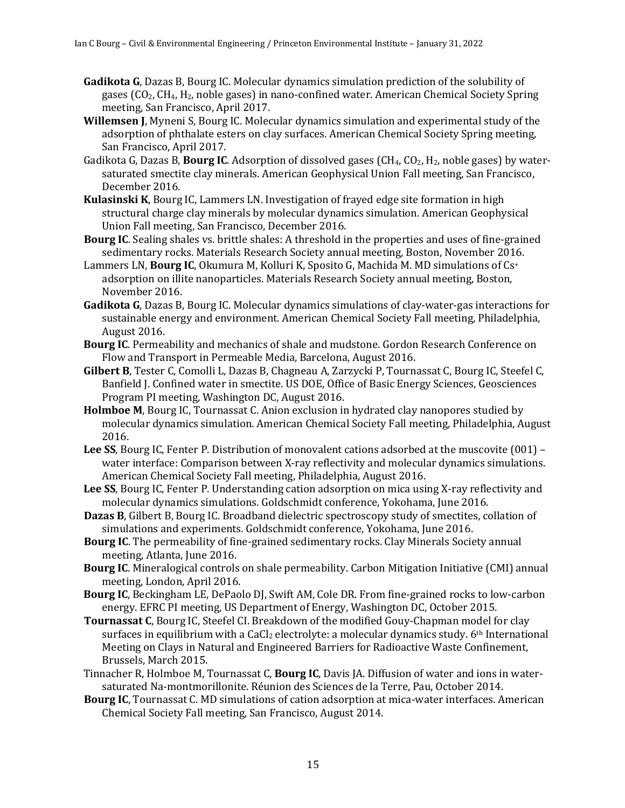- **Gadikota G**, Dazas B, Bourg IC. Molecular dynamics simulation prediction of the solubility of gases (CO<sub>2</sub>, CH<sub>4</sub>, H<sub>2</sub>, noble gases) in nano-confined water. American Chemical Society Spring meeting, San Francisco, April 2017.
- **Willemsen J**, Myneni S, Bourg IC. Molecular dynamics simulation and experimental study of the adsorption of phthalate esters on clay surfaces. American Chemical Society Spring meeting, San Francisco, April 2017.
- Gadikota G, Dazas B, **Bourg IC**. Adsorption of dissolved gases (CH<sub>4</sub>, CO<sub>2</sub>, H<sub>2</sub>, noble gases) by watersaturated smectite clay minerals. American Geophysical Union Fall meeting, San Francisco, December 2016.
- **Kulasinski K**, Bourg IC, Lammers LN. Investigation of frayed edge site formation in high structural charge clay minerals by molecular dynamics simulation. American Geophysical Union Fall meeting, San Francisco, December 2016.
- **Bourg IC**. Sealing shales vs. brittle shales: A threshold in the properties and uses of fine-grained sedimentary rocks. Materials Research Society annual meeting, Boston, November 2016.
- Lammers LN, **Bourg IC**, Okumura M, Kolluri K, Sposito G, Machida M. MD simulations of Cs<sup>+</sup> adsorption on illite nanoparticles. Materials Research Society annual meeting, Boston, November 2016.
- **Gadikota G**, Dazas B, Bourg IC. Molecular dynamics simulations of clay-water-gas interactions for sustainable energy and environment. American Chemical Society Fall meeting, Philadelphia, August 2016.
- **Bourg IC.** Permeability and mechanics of shale and mudstone. Gordon Research Conference on Flow and Transport in Permeable Media, Barcelona, August 2016.
- Gilbert B, Tester C, Comolli L, Dazas B, Chagneau A, Zarzycki P, Tournassat C, Bourg IC, Steefel C, Banfield J. Confined water in smectite. US DOE, Office of Basic Energy Sciences, Geosciences Program PI meeting, Washington DC, August 2016.
- **Holmboe M**, Bourg IC, Tournassat C. Anion exclusion in hydrated clay nanopores studied by molecular dynamics simulation. American Chemical Society Fall meeting, Philadelphia, August 2016.
- **Lee SS**, Bourg IC, Fenter P. Distribution of monovalent cations adsorbed at the muscovite  $(001)$  water interface: Comparison between X-ray reflectivity and molecular dynamics simulations. American Chemical Society Fall meeting, Philadelphia, August 2016.
- **Lee SS**, Bourg IC, Fenter P. Understanding cation adsorption on mica using X-ray reflectivity and molecular dynamics simulations. Goldschmidt conference, Yokohama, June 2016.
- Dazas B, Gilbert B, Bourg IC. Broadband dielectric spectroscopy study of smectites, collation of simulations and experiments. Goldschmidt conference, Yokohama, June 2016.
- **Bourg IC**. The permeability of fine-grained sedimentary rocks. Clay Minerals Society annual meeting, Atlanta, June 2016.
- Bourg IC. Mineralogical controls on shale permeability. Carbon Mitigation Initiative (CMI) annual meeting, London, April 2016.
- Bourg IC, Beckingham LE, DePaolo DJ, Swift AM, Cole DR. From fine-grained rocks to low-carbon energy. EFRC PI meeting, US Department of Energy, Washington DC, October 2015.
- **Tournassat C**, Bourg IC, Steefel CI. Breakdown of the modified Gouy-Chapman model for clay surfaces in equilibrium with a CaCl<sub>2</sub> electrolyte: a molecular dynamics study. 6<sup>th</sup> International Meeting on Clays in Natural and Engineered Barriers for Radioactive Waste Confinement, Brussels, March 2015.
- Tinnacher R, Holmboe M, Tournassat C, **Bourg IC**, Davis JA. Diffusion of water and ions in watersaturated Na-montmorillonite. Réunion des Sciences de la Terre, Pau, October 2014.
- **Bourg IC**, Tournassat C. MD simulations of cation adsorption at mica-water interfaces. American Chemical Society Fall meeting, San Francisco, August 2014.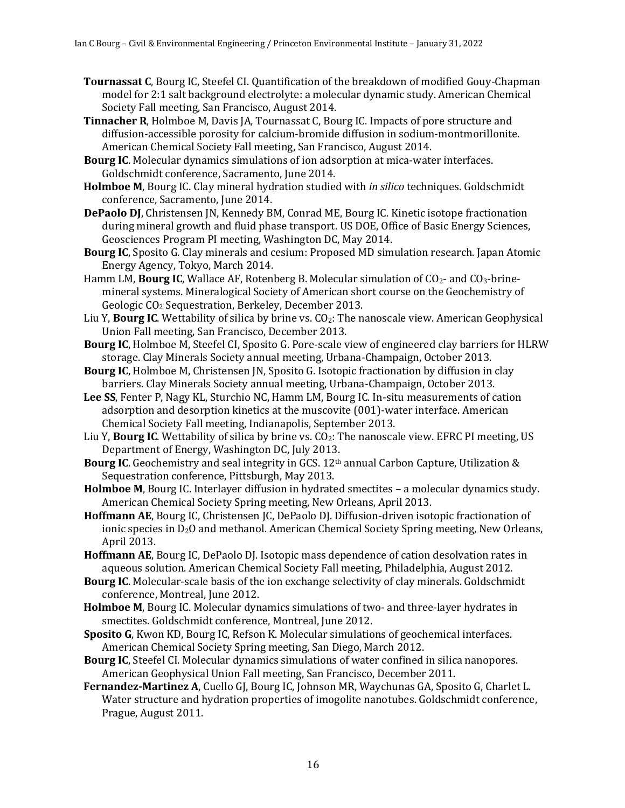- **Tournassat C**, Bourg IC, Steefel CI. Quantification of the breakdown of modified Gouy-Chapman model for 2:1 salt background electrolyte: a molecular dynamic study. American Chemical Society Fall meeting, San Francisco, August 2014.
- **Tinnacher R**, Holmboe M, Davis JA, Tournassat C, Bourg IC. Impacts of pore structure and diffusion-accessible porosity for calcium-bromide diffusion in sodium-montmorillonite. American Chemical Society Fall meeting, San Francisco, August 2014.
- **Bourg IC**. Molecular dynamics simulations of ion adsorption at mica-water interfaces. Goldschmidt conference, Sacramento, June 2014.
- **Holmboe M**, Bourg IC. Clay mineral hydration studied with *in silico* techniques. Goldschmidt conference, Sacramento, June 2014.
- **DePaolo DJ**, Christensen JN, Kennedy BM, Conrad ME, Bourg IC. Kinetic isotope fractionation during mineral growth and fluid phase transport. US DOE, Office of Basic Energy Sciences, Geosciences Program PI meeting, Washington DC, May 2014.
- **Bourg IC**, Sposito G. Clay minerals and cesium: Proposed MD simulation research. Japan Atomic Energy Agency, Tokyo, March 2014.
- Hamm LM, **Bourg IC**, Wallace AF, Rotenberg B. Molecular simulation of  $CO<sub>2</sub>$  and  $CO<sub>3</sub>$ -brinemineral systems. Mineralogical Society of American short course on the Geochemistry of Geologic CO<sub>2</sub> Sequestration, Berkeley, December 2013.
- Liu Y, **Bourg IC**. Wettability of silica by brine vs. CO<sub>2</sub>: The nanoscale view. American Geophysical Union Fall meeting, San Francisco, December 2013.
- **Bourg IC**, Holmboe M, Steefel CI, Sposito G. Pore-scale view of engineered clay barriers for HLRW storage. Clay Minerals Society annual meeting, Urbana-Champaign, October 2013.
- **Bourg IC**, Holmboe M, Christensen JN, Sposito G. Isotopic fractionation by diffusion in clay barriers. Clay Minerals Society annual meeting, Urbana-Champaign, October 2013.
- Lee SS, Fenter P, Nagy KL, Sturchio NC, Hamm LM, Bourg IC. In-situ measurements of cation adsorption and desorption kinetics at the muscovite  $(001)$ -water interface. American Chemical Society Fall meeting, Indianapolis, September 2013.
- Liu Y, **Bourg IC**. Wettability of silica by brine vs. CO<sub>2</sub>: The nanoscale view. EFRC PI meeting, US Department of Energy, Washington DC, July 2013.
- **Bourg IC**. Geochemistry and seal integrity in GCS. 12<sup>th</sup> annual Carbon Capture, Utilization & Sequestration conference, Pittsburgh, May 2013.
- **Holmboe M**, Bourg IC. Interlayer diffusion in hydrated smectites a molecular dynamics study. American Chemical Society Spring meeting, New Orleans, April 2013.
- Hoffmann AE, Bourg IC, Christensen JC, DePaolo DJ. Diffusion-driven isotopic fractionation of ionic species in  $D_2O$  and methanol. American Chemical Society Spring meeting, New Orleans, April 2013.
- Hoffmann AE, Bourg IC, DePaolo DJ. Isotopic mass dependence of cation desolvation rates in aqueous solution. American Chemical Society Fall meeting, Philadelphia, August 2012.
- **Bourg IC.** Molecular-scale basis of the ion exchange selectivity of clay minerals. Goldschmidt conference, Montreal, June 2012.
- **Holmboe M**, Bourg IC. Molecular dynamics simulations of two- and three-layer hydrates in smectites. Goldschmidt conference, Montreal, June 2012.
- **Sposito G**, Kwon KD, Bourg IC, Refson K. Molecular simulations of geochemical interfaces. American Chemical Society Spring meeting, San Diego, March 2012.
- **Bourg IC**, Steefel CI. Molecular dynamics simulations of water confined in silica nanopores. American Geophysical Union Fall meeting, San Francisco, December 2011.
- Fernandez-Martinez A, Cuello GJ, Bourg IC, Johnson MR, Waychunas GA, Sposito G, Charlet L. Water structure and hydration properties of imogolite nanotubes. Goldschmidt conference, Prague, August 2011.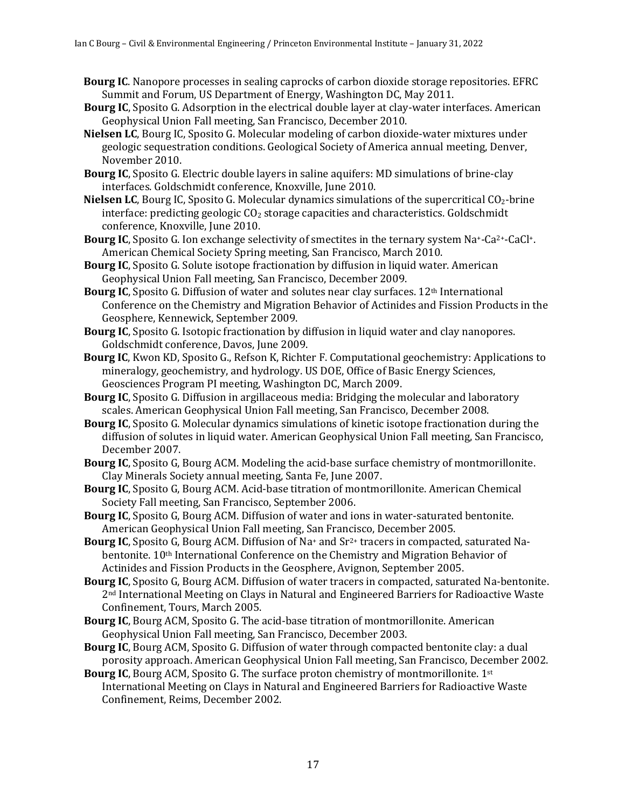- **Bourg IC**. Nanopore processes in sealing caprocks of carbon dioxide storage repositories. EFRC Summit and Forum, US Department of Energy, Washington DC, May 2011.
- **Bourg IC**, Sposito G. Adsorption in the electrical double layer at clay-water interfaces. American Geophysical Union Fall meeting, San Francisco, December 2010.
- **Nielsen LC**, Bourg IC, Sposito G. Molecular modeling of carbon dioxide-water mixtures under geologic sequestration conditions. Geological Society of America annual meeting, Denver, November 2010.
- **Bourg IC**, Sposito G. Electric double layers in saline aquifers: MD simulations of brine-clay interfaces. Goldschmidt conference, Knoxville, June 2010.
- **Nielsen LC**, Bourg IC, Sposito G. Molecular dynamics simulations of the supercritical CO<sub>2</sub>-brine interface: predicting geologic  $CO<sub>2</sub>$  storage capacities and characteristics. Goldschmidt conference, Knoxville, June 2010.
- **Bourg IC**, Sposito G. Ion exchange selectivity of smectites in the ternary system Na<sup>+</sup>-Ca<sup>2+</sup>-CaCl<sup>+</sup>. American Chemical Society Spring meeting, San Francisco, March 2010.
- **Bourg IC**, Sposito G. Solute isotope fractionation by diffusion in liquid water. American Geophysical Union Fall meeting, San Francisco, December 2009.
- **Bourg IC**, Sposito G. Diffusion of water and solutes near clay surfaces. 12<sup>th</sup> International Conference on the Chemistry and Migration Behavior of Actinides and Fission Products in the Geosphere, Kennewick, September 2009.
- **Bourg IC**, Sposito G. Isotopic fractionation by diffusion in liquid water and clay nanopores. Goldschmidt conference, Davos, June 2009.
- **Bourg IC**, Kwon KD, Sposito G., Refson K, Richter F. Computational geochemistry: Applications to mineralogy, geochemistry, and hydrology. US DOE, Office of Basic Energy Sciences, Geosciences Program PI meeting, Washington DC, March 2009.
- **Bourg IC**, Sposito G. Diffusion in argillaceous media: Bridging the molecular and laboratory scales. American Geophysical Union Fall meeting, San Francisco, December 2008.
- **Bourg IC**, Sposito G. Molecular dynamics simulations of kinetic isotope fractionation during the diffusion of solutes in liquid water. American Geophysical Union Fall meeting, San Francisco, December 2007.
- **Bourg IC**, Sposito G, Bourg ACM. Modeling the acid-base surface chemistry of montmorillonite. Clay Minerals Society annual meeting, Santa Fe, June 2007.
- **Bourg IC**, Sposito G, Bourg ACM. Acid-base titration of montmorillonite. American Chemical Society Fall meeting, San Francisco, September 2006.
- **Bourg IC**, Sposito G, Bourg ACM. Diffusion of water and ions in water-saturated bentonite. American Geophysical Union Fall meeting, San Francisco, December 2005.
- **Bourg IC**, Sposito G, Bourg ACM. Diffusion of Na<sup>+</sup> and Sr<sup>2+</sup> tracers in compacted, saturated Nabentonite. 10<sup>th</sup> International Conference on the Chemistry and Migration Behavior of Actinides and Fission Products in the Geosphere, Avignon, September 2005.
- **Bourg IC**, Sposito G, Bourg ACM. Diffusion of water tracers in compacted, saturated Na-bentonite. 2<sup>nd</sup> International Meeting on Clays in Natural and Engineered Barriers for Radioactive Waste Confinement, Tours, March 2005.
- **Bourg IC**, Bourg ACM, Sposito G. The acid-base titration of montmorillonite. American Geophysical Union Fall meeting, San Francisco, December 2003.
- **Bourg IC**, Bourg ACM, Sposito G. Diffusion of water through compacted bentonite clay: a dual porosity approach. American Geophysical Union Fall meeting, San Francisco, December 2002.
- **Bourg IC**, Bourg ACM, Sposito G. The surface proton chemistry of montmorillonite. 1<sup>st</sup> International Meeting on Clays in Natural and Engineered Barriers for Radioactive Waste Confinement, Reims, December 2002.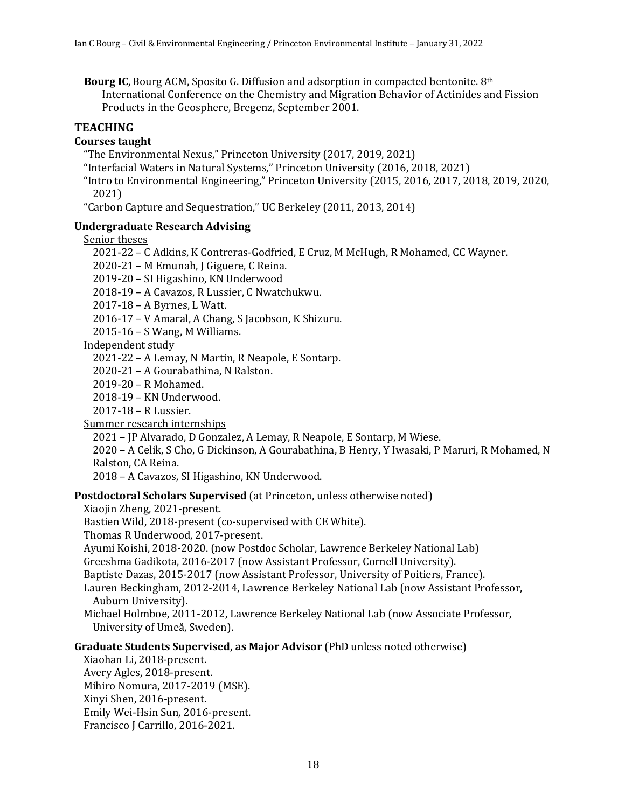**Bourg IC**, Bourg ACM, Sposito G. Diffusion and adsorption in compacted bentonite. 8<sup>th</sup> International Conference on the Chemistry and Migration Behavior of Actinides and Fission Products in the Geosphere, Bregenz, September 2001.

# **TEACHING**

# **Courses taught**

"The Environmental Nexus," Princeton University (2017, 2019, 2021)

"Interfacial Waters in Natural Systems," Princeton University (2016, 2018, 2021)

"Intro to Environmental Engineering," Princeton University  $(2015, 2016, 2017, 2018, 2019, 2020,$ 2021)

"Carbon Capture and Sequestration," UC Berkeley (2011, 2013, 2014)

### **Undergraduate Research Advising**

Senior theses

2021-22 - C Adkins, K Contreras-Godfried, E Cruz, M McHugh, R Mohamed, CC Wayner.

 $2020-21$  – M Emunah, J Giguere, C Reina.

2019-20 - SI Higashino, KN Underwood

2018-19 - A Cavazos, R Lussier, C Nwatchukwu.

2017-18 - A Byrnes, L Watt.

2016-17 - V Amaral, A Chang, S Jacobson, K Shizuru.

 $2015-16 - S$  Wang, M Williams.

Independent study

2021-22 – A Lemay, N Martin, R Neapole, E Sontarp.

2020-21 - A Gourabathina, N Ralston.

2019-20 - R Mohamed.

2018-19 – KN Underwood.

2017-18 – R Lussier.

Summer research internships

2021 - JP Alvarado, D Gonzalez, A Lemay, R Neapole, E Sontarp, M Wiese.

2020 - A Celik, S Cho, G Dickinson, A Gourabathina, B Henry, Y Iwasaki, P Maruri, R Mohamed, N Ralston, CA Reina.

2018 - A Cavazos, SI Higashino, KN Underwood.

**Postdoctoral Scholars Supervised** (at Princeton, unless otherwise noted)

Xiaojin Zheng, 2021-present.

Bastien Wild, 2018-present (co-supervised with CE White).

Thomas R Underwood, 2017-present.

Ayumi Koishi, 2018-2020. (now Postdoc Scholar, Lawrence Berkeley National Lab)

Greeshma Gadikota, 2016-2017 (now Assistant Professor, Cornell University).

Baptiste Dazas, 2015-2017 (now Assistant Professor, University of Poitiers, France).

Lauren Beckingham, 2012-2014, Lawrence Berkeley National Lab (now Assistant Professor, Auburn University).

Michael Holmboe, 2011-2012, Lawrence Berkeley National Lab (now Associate Professor, University of Umeå, Sweden).

# **Graduate Students Supervised, as Major Advisor (PhD unless noted otherwise)**

Xiaohan Li, 2018-present. Avery Agles, 2018-present. Mihiro Nomura, 2017-2019 (MSE). Xinyi Shen, 2016-present. Emily Wei-Hsin Sun, 2016-present. Francisco J Carrillo, 2016-2021.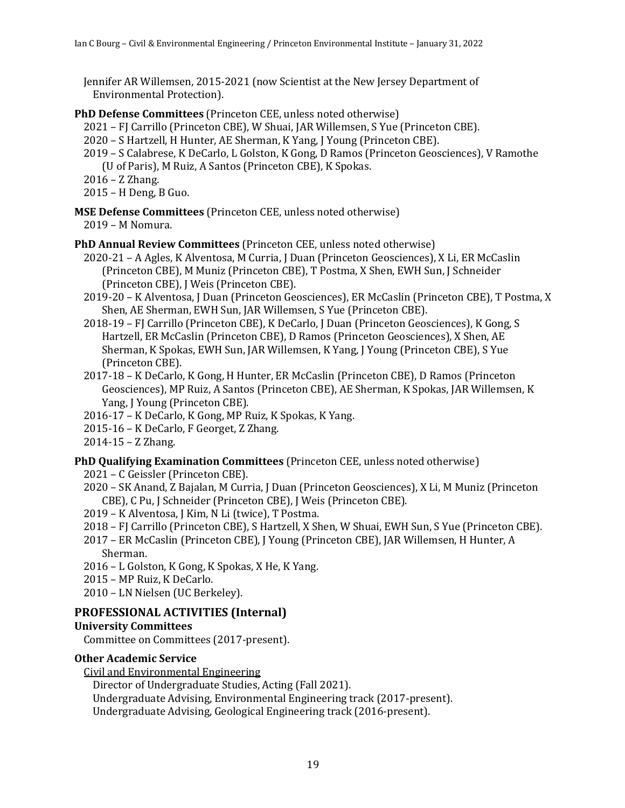Jennifer AR Willemsen, 2015-2021 (now Scientist at the New Jersey Department of Environmental Protection).

### **PhD Defense Committees** (Princeton CEE, unless noted otherwise)

- 2021 FJ Carrillo (Princeton CBE), W Shuai, JAR Willemsen, S Yue (Princeton CBE).
- 2020 S Hartzell, H Hunter, AE Sherman, K Yang, J Young (Princeton CBE).
- 2019 S Calabrese, K DeCarlo, L Golston, K Gong, D Ramos (Princeton Geosciences), V Ramothe (U of Paris), M Ruiz, A Santos (Princeton CBE), K Spokas.

 $2016 - Z$  Zhang.

- $2015$  H Deng, B Guo.
- **MSE Defense Committees** (Princeton CEE, unless noted otherwise) 2019 - M Nomura.
- **PhD Annual Review Committees** (Princeton CEE, unless noted otherwise)
	- 2020-21 A Agles, K Alventosa, M Curria, J Duan (Princeton Geosciences), X Li, ER McCaslin (Princeton CBE), M Muniz (Princeton CBE), T Postma, X Shen, EWH Sun, J Schneider (Princeton CBE), J Weis (Princeton CBE).
	- 2019-20 K Alventosa, J Duan (Princeton Geosciences), ER McCaslin (Princeton CBE), T Postma, X Shen, AE Sherman, EWH Sun, JAR Willemsen, S Yue (Princeton CBE).
	- 2018-19 FJ Carrillo (Princeton CBE), K DeCarlo, J Duan (Princeton Geosciences), K Gong, S Hartzell, ER McCaslin (Princeton CBE), D Ramos (Princeton Geosciences), X Shen, AE Sherman, K Spokas, EWH Sun, JAR Willemsen, K Yang, J Young (Princeton CBE), S Yue (Princeton CBE).
	- 2017-18 K DeCarlo, K Gong, H Hunter, ER McCaslin (Princeton CBE), D Ramos (Princeton Geosciences), MP Ruiz, A Santos (Princeton CBE), AE Sherman, K Spokas, JAR Willemsen, K Yang, J Young (Princeton CBE).
	- 2016-17 K DeCarlo, K Gong, MP Ruiz, K Spokas, K Yang.
	- 2015-16 K DeCarlo, F Georget, Z Zhang.
	- $2014 15 Z$  Zhang.

#### **PhD Qualifying Examination Committees** (Princeton CEE, unless noted otherwise)

- 2021 C Geissler (Princeton CBE).
- 2020 SK Anand, Z Bajalan, M Curria, J Duan (Princeton Geosciences), X Li, M Muniz (Princeton CBE), C Pu, J Schneider (Princeton CBE), J Weis (Princeton CBE).
- 2019 K Alventosa, J Kim, N Li (twice), T Postma.
- 2018 FJ Carrillo (Princeton CBE), S Hartzell, X Shen, W Shuai, EWH Sun, S Yue (Princeton CBE).
- 2017 ER McCaslin (Princeton CBE), J Young (Princeton CBE), JAR Willemsen, H Hunter, A Sherman.
- 2016 L Golston, K Gong, K Spokas, X He, K Yang.
- 2015 MP Ruiz, K DeCarlo.
- 2010 LN Nielsen (UC Berkeley).

# **PROFESSIONAL ACTIVITIES (Internal)**

# **University Committees**

Committee on Committees (2017-present).

#### **Other Academic Service**

Civil and Environmental Engineering

Director of Undergraduate Studies, Acting (Fall 2021).

Undergraduate Advising, Environmental Engineering track (2017-present).

Undergraduate Advising, Geological Engineering track (2016-present).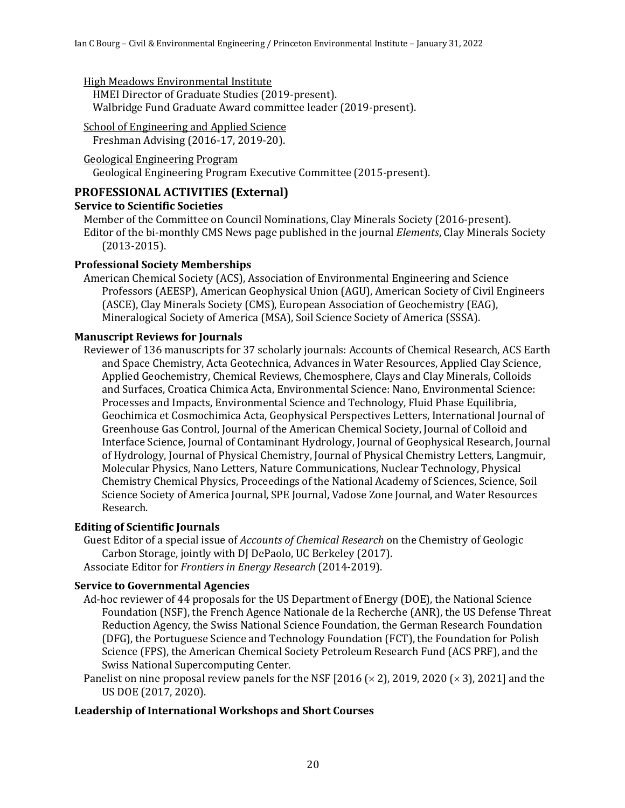High Meadows Environmental Institute

HMEI Director of Graduate Studies (2019-present). Walbridge Fund Graduate Award committee leader (2019-present).

#### School of Engineering and Applied Science

Freshman Advising (2016-17, 2019-20).

```
Geological Engineering Program
```
Geological Engineering Program Executive Committee (2015-present).

# **PROFESSIONAL ACTIVITIES (External)**

# **Service to Scientific Societies**

Member of the Committee on Council Nominations, Clay Minerals Society (2016-present). Editor of the bi-monthly CMS News page published in the journal *Elements*, Clay Minerals Society (2013-2015).

### **Professional Society Memberships**

American Chemical Society (ACS), Association of Environmental Engineering and Science Professors (AEESP), American Geophysical Union (AGU), American Society of Civil Engineers (ASCE), Clay Minerals Society (CMS), European Association of Geochemistry (EAG), Mineralogical Society of America (MSA), Soil Science Society of America (SSSA).

### **Manuscript Reviews for Journals**

Reviewer of 136 manuscripts for 37 scholarly journals: Accounts of Chemical Research, ACS Earth and Space Chemistry, Acta Geotechnica, Advances in Water Resources, Applied Clay Science, Applied Geochemistry, Chemical Reviews, Chemosphere, Clays and Clay Minerals, Colloids and Surfaces, Croatica Chimica Acta, Environmental Science: Nano, Environmental Science: Processes and Impacts, Environmental Science and Technology, Fluid Phase Equilibria, Geochimica et Cosmochimica Acta, Geophysical Perspectives Letters, International Journal of Greenhouse Gas Control, Journal of the American Chemical Society, Journal of Colloid and Interface Science, Journal of Contaminant Hydrology, Journal of Geophysical Research, Journal of Hydrology, Journal of Physical Chemistry, Journal of Physical Chemistry Letters, Langmuir, Molecular Physics, Nano Letters, Nature Communications, Nuclear Technology, Physical Chemistry Chemical Physics, Proceedings of the National Academy of Sciences, Science, Soil Science Society of America Journal, SPE Journal, Vadose Zone Journal, and Water Resources Research.

# **Editing of Scientific Journals**

Guest Editor of a special issue of *Accounts of Chemical Research* on the Chemistry of Geologic Carbon Storage, jointly with DJ DePaolo, UC Berkeley (2017). Associate Editor for *Frontiers in Energy Research* (2014-2019).

#### **Service to Governmental Agencies**

Ad-hoc reviewer of 44 proposals for the US Department of Energy (DOE), the National Science Foundation (NSF), the French Agence Nationale de la Recherche (ANR), the US Defense Threat Reduction Agency, the Swiss National Science Foundation, the German Research Foundation (DFG), the Portuguese Science and Technology Foundation (FCT), the Foundation for Polish Science (FPS), the American Chemical Society Petroleum Research Fund (ACS PRF), and the Swiss National Supercomputing Center.

Panelist on nine proposal review panels for the NSF [2016 ( $\times$  2), 2019, 2020 ( $\times$  3), 2021] and the US DOE (2017, 2020).

#### Leadership of International Workshops and Short Courses